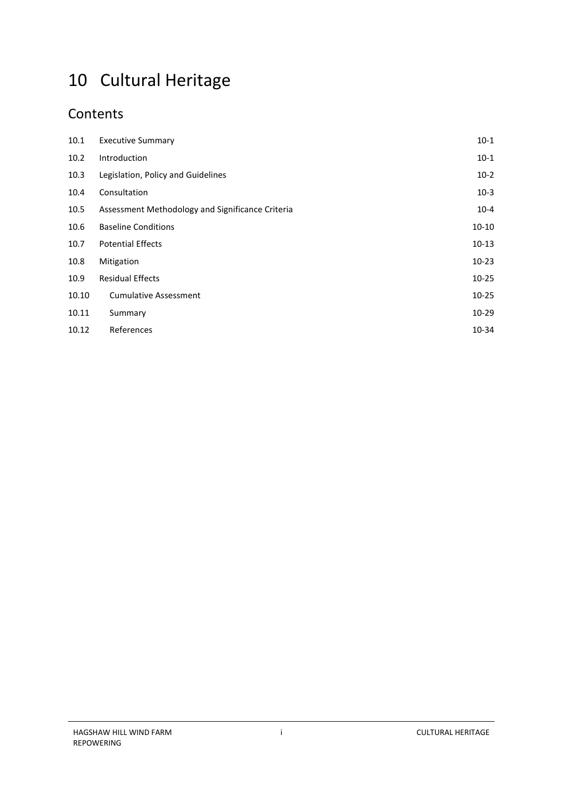# 10 Cultural Heritage

# **Contents**

| 10.1  | <b>Executive Summary</b>                         | $10-1$    |
|-------|--------------------------------------------------|-----------|
| 10.2  | Introduction                                     | $10-1$    |
| 10.3  | Legislation, Policy and Guidelines               | $10-2$    |
| 10.4  | Consultation                                     | $10-3$    |
| 10.5  | Assessment Methodology and Significance Criteria | $10-4$    |
| 10.6  | <b>Baseline Conditions</b>                       | $10 - 10$ |
| 10.7  | <b>Potential Effects</b>                         | $10-13$   |
| 10.8  | Mitigation                                       | $10 - 23$ |
| 10.9  | <b>Residual Effects</b>                          | $10 - 25$ |
| 10.10 | <b>Cumulative Assessment</b>                     | $10 - 25$ |
| 10.11 | Summary                                          | 10-29     |
| 10.12 | References                                       | 10-34     |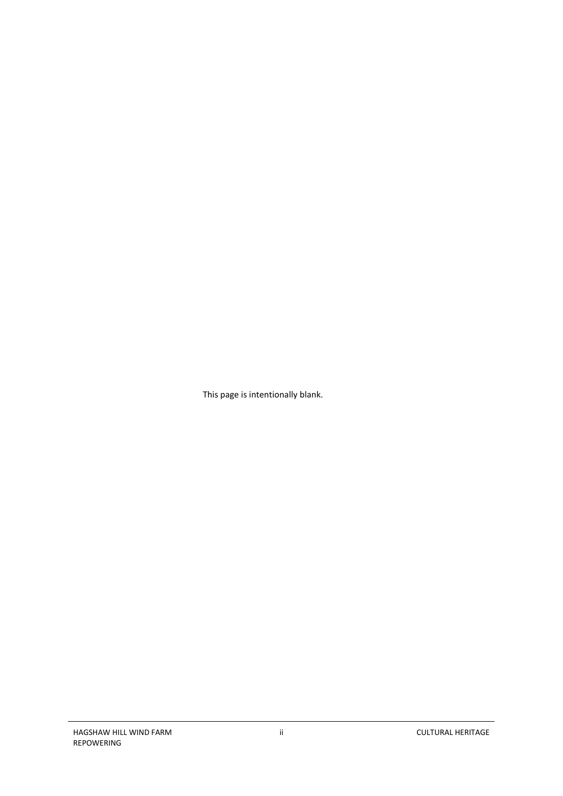This page is intentionally blank.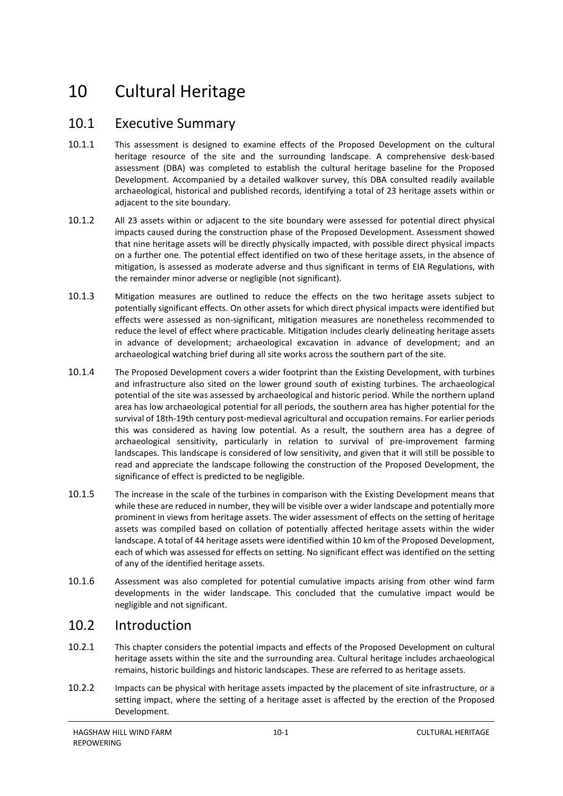# 10 Cultural Heritage

# <span id="page-2-0"></span>10.1 Executive Summary

- 10.1.1 This assessment is designed to examine effects of the Proposed Development on the cultural heritage resource of the site and the surrounding landscape. A comprehensive desk-based assessment (DBA) was completed to establish the cultural heritage baseline for the Proposed Development. Accompanied by a detailed walkover survey, this DBA consulted readily available archaeological, historical and published records, identifying a total of 23 heritage assets within or adjacent to the site boundary.
- 10.1.2 All 23 assets within or adjacent to the site boundary were assessed for potential direct physical impacts caused during the construction phase of the Proposed Development. Assessment showed that nine heritage assets will be directly physically impacted, with possible direct physical impacts on a further one. The potential effect identified on two of these heritage assets, in the absence of mitigation, is assessed as moderate adverse and thus significant in terms of EIA Regulations, with the remainder minor adverse or negligible (not significant).
- 10.1.3 Mitigation measures are outlined to reduce the effects on the two heritage assets subject to potentially significant effects. On other assets for which direct physical impacts were identified but effects were assessed as non-significant, mitigation measures are nonetheless recommended to reduce the level of effect where practicable. Mitigation includes clearly delineating heritage assets in advance of development; archaeological excavation in advance of development; and an archaeological watching brief during all site works across the southern part of the site.
- 10.1.4 The Proposed Development covers a wider footprint than the Existing Development, with turbines and infrastructure also sited on the lower ground south of existing turbines. The archaeological potential of the site was assessed by archaeological and historic period. While the northern upland area has low archaeological potential for all periods, the southern area has higher potential for the survival of 18th-19th century post-medieval agricultural and occupation remains. For earlier periods this was considered as having low potential. As a result, the southern area has a degree of archaeological sensitivity, particularly in relation to survival of pre-improvement farming landscapes. This landscape is considered of low sensitivity, and given that it will still be possible to read and appreciate the landscape following the construction of the Proposed Development, the significance of effect is predicted to be negligible.
- 10.1.5 The increase in the scale of the turbines in comparison with the Existing Development means that while these are reduced in number, they will be visible over a wider landscape and potentially more prominent in views from heritage assets. The wider assessment of effects on the setting of heritage assets was compiled based on collation of potentially affected heritage assets within the wider landscape. A total of 44 heritage assets were identified within 10 km of the Proposed Development, each of which was assessed for effects on setting. No significant effect was identified on the setting of any of the identified heritage assets.
- 10.1.6 Assessment was also completed for potential cumulative impacts arising from other wind farm developments in the wider landscape. This concluded that the cumulative impact would be negligible and not significant.

# <span id="page-2-1"></span>10.2 Introduction

- 10.2.1 This chapter considers the potential impacts and effects of the Proposed Development on cultural heritage assets within the site and the surrounding area. Cultural heritage includes archaeological remains, historic buildings and historic landscapes. These are referred to as heritage assets.
- 10.2.2 Impacts can be physical with heritage assets impacted by the placement of site infrastructure, or a setting impact, where the setting of a heritage asset is affected by the erection of the Proposed Development.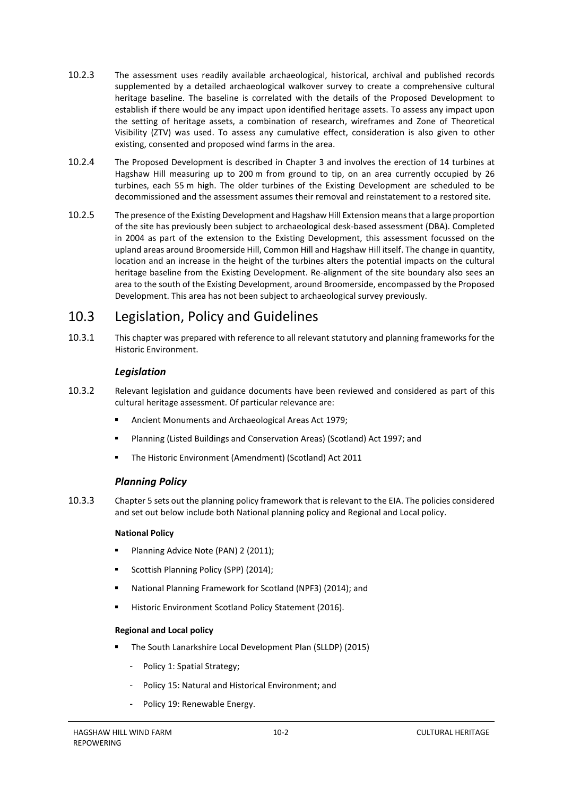- 10.2.3 The assessment uses readily available archaeological, historical, archival and published records supplemented by a detailed archaeological walkover survey to create a comprehensive cultural heritage baseline. The baseline is correlated with the details of the Proposed Development to establish if there would be any impact upon identified heritage assets. To assess any impact upon the setting of heritage assets, a combination of research, wireframes and Zone of Theoretical Visibility (ZTV) was used. To assess any cumulative effect, consideration is also given to other existing, consented and proposed wind farms in the area.
- 10.2.4 The Proposed Development is described in Chapter 3 and involves the erection of 14 turbines at Hagshaw Hill measuring up to 200 m from ground to tip, on an area currently occupied by 26 turbines, each 55 m high. The older turbines of the Existing Development are scheduled to be decommissioned and the assessment assumes their removal and reinstatement to a restored site.
- 10.2.5 The presence of the Existing Development and Hagshaw Hill Extension means that a large proportion of the site has previously been subject to archaeological desk-based assessment (DBA). Completed in 2004 as part of the extension to the Existing Development, this assessment focussed on the upland areas around Broomerside Hill, Common Hill and Hagshaw Hill itself. The change in quantity, location and an increase in the height of the turbines alters the potential impacts on the cultural heritage baseline from the Existing Development. Re-alignment of the site boundary also sees an area to the south of the Existing Development, around Broomerside, encompassed by the Proposed Development. This area has not been subject to archaeological survey previously.

# <span id="page-3-0"></span>10.3 Legislation, Policy and Guidelines

10.3.1 This chapter was prepared with reference to all relevant statutory and planning frameworks for the Historic Environment.

# *Legislation*

- 10.3.2 Relevant legislation and guidance documents have been reviewed and considered as part of this cultural heritage assessment. Of particular relevance are:
	- Ancient Monuments and Archaeological Areas Act 1979;
	- Planning (Listed Buildings and Conservation Areas) (Scotland) Act 1997; and
	- The Historic Environment (Amendment) (Scotland) Act 2011

# *Planning Policy*

<span id="page-3-1"></span>10.3.3 Chapter 5 sets out the planning policy framework that is relevant to the EIA. The policies considered and set out below include both National planning policy and Regional and Local policy.

#### **National Policy**

- **Planning Advice Note (PAN) 2 (2011);**
- **Scottish Planning Policy (SPP) (2014);**
- National Planning Framework for Scotland (NPF3) (2014); and
- **Historic Environment Scotland Policy Statement (2016).**

#### **Regional and Local policy**

- The South Lanarkshire Local Development Plan (SLLDP) (2015)
	- Policy 1: Spatial Strategy;
	- Policy 15: Natural and Historical Environment; and
	- Policy 19: Renewable Energy.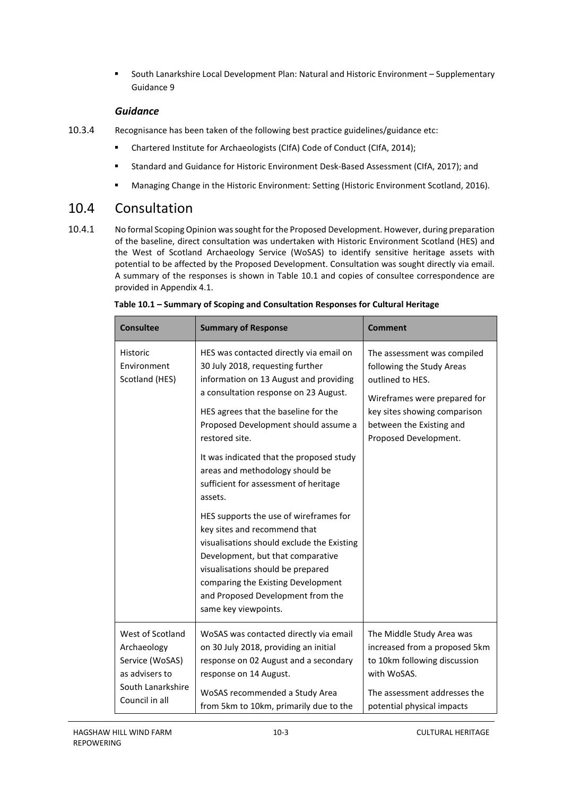South Lanarkshire Local Development Plan: Natural and Historic Environment – Supplementary Guidance 9

# *Guidance*

- 10.3.4 Recognisance has been taken of the following best practice guidelines/guidance etc:
	- Chartered Institute for Archaeologists (CIfA) Code of Conduct (CIfA, 2014);
	- Standard and Guidance for Historic Environment Desk-Based Assessment (CIfA, 2017); and
	- **Managing Change in the Historic Environment: Setting (Historic Environment Scotland, 2016).**

# <span id="page-4-0"></span>10.4 Consultation

10.4.1 No formal Scoping Opinion was sought for the Proposed Development. However, during preparation of the baseline, direct consultation was undertaken with Historic Environment Scotland (HES) and the West of Scotland Archaeology Service (WoSAS) to identify sensitive heritage assets with potential to be affected by the Proposed Development. Consultation was sought directly via email. A summary of the responses is shown in Table 10.1 and copies of consultee correspondence are provided in Appendix 4.1.

| <b>Consultee</b>                                                                                            | <b>Summary of Response</b>                                                                                                                                                                                                                                                                                                                                                                                                                                                                                                                                                                                                                                                                               | <b>Comment</b>                                                                                                                                                                                    |
|-------------------------------------------------------------------------------------------------------------|----------------------------------------------------------------------------------------------------------------------------------------------------------------------------------------------------------------------------------------------------------------------------------------------------------------------------------------------------------------------------------------------------------------------------------------------------------------------------------------------------------------------------------------------------------------------------------------------------------------------------------------------------------------------------------------------------------|---------------------------------------------------------------------------------------------------------------------------------------------------------------------------------------------------|
| Historic<br>Environment<br>Scotland (HES)                                                                   | HES was contacted directly via email on<br>30 July 2018, requesting further<br>information on 13 August and providing<br>a consultation response on 23 August.<br>HES agrees that the baseline for the<br>Proposed Development should assume a<br>restored site.<br>It was indicated that the proposed study<br>areas and methodology should be<br>sufficient for assessment of heritage<br>assets.<br>HES supports the use of wireframes for<br>key sites and recommend that<br>visualisations should exclude the Existing<br>Development, but that comparative<br>visualisations should be prepared<br>comparing the Existing Development<br>and Proposed Development from the<br>same key viewpoints. | The assessment was compiled<br>following the Study Areas<br>outlined to HES.<br>Wireframes were prepared for<br>key sites showing comparison<br>between the Existing and<br>Proposed Development. |
| West of Scotland<br>Archaeology<br>Service (WoSAS)<br>as advisers to<br>South Lanarkshire<br>Council in all | WoSAS was contacted directly via email<br>on 30 July 2018, providing an initial<br>response on 02 August and a secondary<br>response on 14 August.<br>WoSAS recommended a Study Area<br>from 5km to 10km, primarily due to the                                                                                                                                                                                                                                                                                                                                                                                                                                                                           | The Middle Study Area was<br>increased from a proposed 5km<br>to 10km following discussion<br>with WoSAS.<br>The assessment addresses the<br>potential physical impacts                           |

**Table 10.1 – Summary of Scoping and Consultation Responses for Cultural Heritage**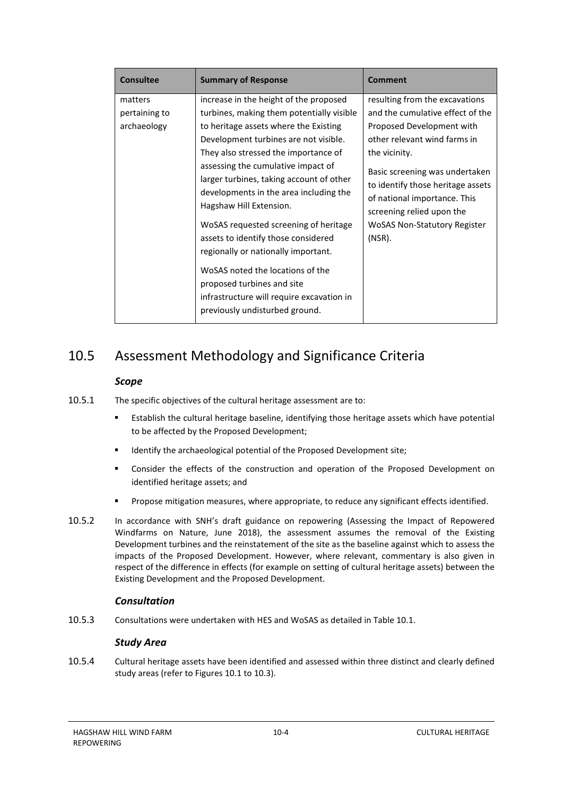| <b>Consultee</b>                        | <b>Summary of Response</b>                                                                                                                                                                                                                                                                                                                                                                                                                                                                                                                                                                                                                   | Comment                                                                                                                                                                                                                                                                                                                                  |
|-----------------------------------------|----------------------------------------------------------------------------------------------------------------------------------------------------------------------------------------------------------------------------------------------------------------------------------------------------------------------------------------------------------------------------------------------------------------------------------------------------------------------------------------------------------------------------------------------------------------------------------------------------------------------------------------------|------------------------------------------------------------------------------------------------------------------------------------------------------------------------------------------------------------------------------------------------------------------------------------------------------------------------------------------|
| matters<br>pertaining to<br>archaeology | increase in the height of the proposed<br>turbines, making them potentially visible<br>to heritage assets where the Existing<br>Development turbines are not visible.<br>They also stressed the importance of<br>assessing the cumulative impact of<br>larger turbines, taking account of other<br>developments in the area including the<br>Hagshaw Hill Extension.<br>WoSAS requested screening of heritage<br>assets to identify those considered<br>regionally or nationally important.<br>WoSAS noted the locations of the<br>proposed turbines and site<br>infrastructure will require excavation in<br>previously undisturbed ground. | resulting from the excavations<br>and the cumulative effect of the<br>Proposed Development with<br>other relevant wind farms in<br>the vicinity.<br>Basic screening was undertaken<br>to identify those heritage assets<br>of national importance. This<br>screening relied upon the<br><b>WoSAS Non-Statutory Register</b><br>$(NSR)$ . |

# <span id="page-5-0"></span>10.5 Assessment Methodology and Significance Criteria

# *Scope*

- 10.5.1 The specific objectives of the cultural heritage assessment are to:
	- Establish the cultural heritage baseline, identifying those heritage assets which have potential to be affected by the Proposed Development;
	- Identify the archaeological potential of the Proposed Development site;
	- Consider the effects of the construction and operation of the Proposed Development on identified heritage assets; and
	- **Propose mitigation measures, where appropriate, to reduce any significant effects identified.**
- 10.5.2 In accordance with SNH's draft guidance on repowering (Assessing the Impact of Repowered Windfarms on Nature, June 2018), the assessment assumes the removal of the Existing Development turbines and the reinstatement of the site as the baseline against which to assess the impacts of the Proposed Development. However, where relevant, commentary is also given in respect of the difference in effects (for example on setting of cultural heritage assets) between the Existing Development and the Proposed Development.

# *Consultation*

10.5.3 Consultations were undertaken with HES and WoSAS as detailed in Table 10.1.

# *Study Area*

10.5.4 Cultural heritage assets have been identified and assessed within three distinct and clearly defined study areas (refer to Figures 10.1 to 10.3).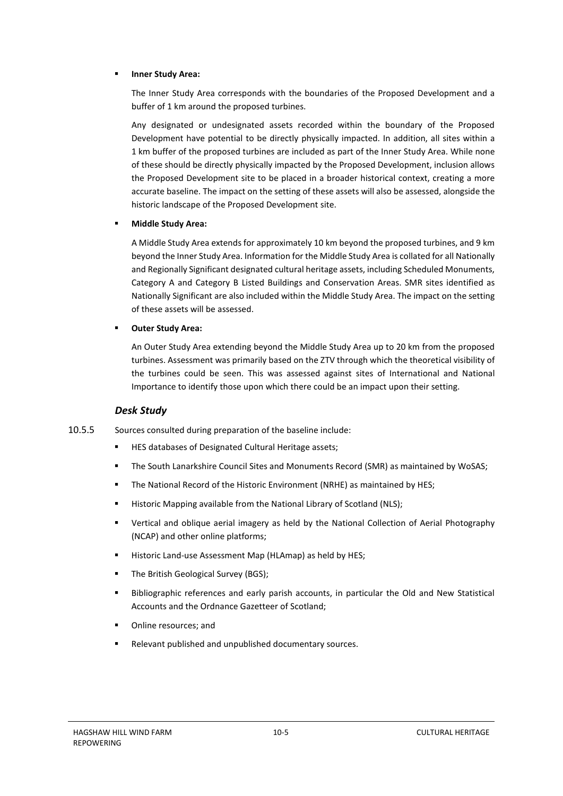#### **Inner Study Area:**

The Inner Study Area corresponds with the boundaries of the Proposed Development and a buffer of 1 km around the proposed turbines.

Any designated or undesignated assets recorded within the boundary of the Proposed Development have potential to be directly physically impacted. In addition, all sites within a 1 km buffer of the proposed turbines are included as part of the Inner Study Area. While none of these should be directly physically impacted by the Proposed Development, inclusion allows the Proposed Development site to be placed in a broader historical context, creating a more accurate baseline. The impact on the setting of these assets will also be assessed, alongside the historic landscape of the Proposed Development site.

#### **Middle Study Area:**

A Middle Study Area extends for approximately 10 km beyond the proposed turbines, and 9 km beyond the Inner Study Area. Information for the Middle Study Area is collated for all Nationally and Regionally Significant designated cultural heritage assets, including Scheduled Monuments, Category A and Category B Listed Buildings and Conservation Areas. SMR sites identified as Nationally Significant are also included within the Middle Study Area. The impact on the setting of these assets will be assessed.

**Outer Study Area:**

An Outer Study Area extending beyond the Middle Study Area up to 20 km from the proposed turbines. Assessment was primarily based on the ZTV through which the theoretical visibility of the turbines could be seen. This was assessed against sites of International and National Importance to identify those upon which there could be an impact upon their setting.

#### *Desk Study*

- <span id="page-6-0"></span>10.5.5 Sources consulted during preparation of the baseline include:
	- **HES databases of Designated Cultural Heritage assets;**
	- The South Lanarkshire Council Sites and Monuments Record (SMR) as maintained by WoSAS;
	- The National Record of the Historic Environment (NRHE) as maintained by HES;
	- Historic Mapping available from the National Library of Scotland (NLS):
	- Vertical and oblique aerial imagery as held by the National Collection of Aerial Photography (NCAP) and other online platforms;
	- Historic Land-use Assessment Map (HLAmap) as held by HES;
	- **The British Geological Survey (BGS);**
	- **Bibliographic references and early parish accounts, in particular the Old and New Statistical** Accounts and the Ordnance Gazetteer of Scotland;
	- **•** Online resources; and
	- **Relevant published and unpublished documentary sources.**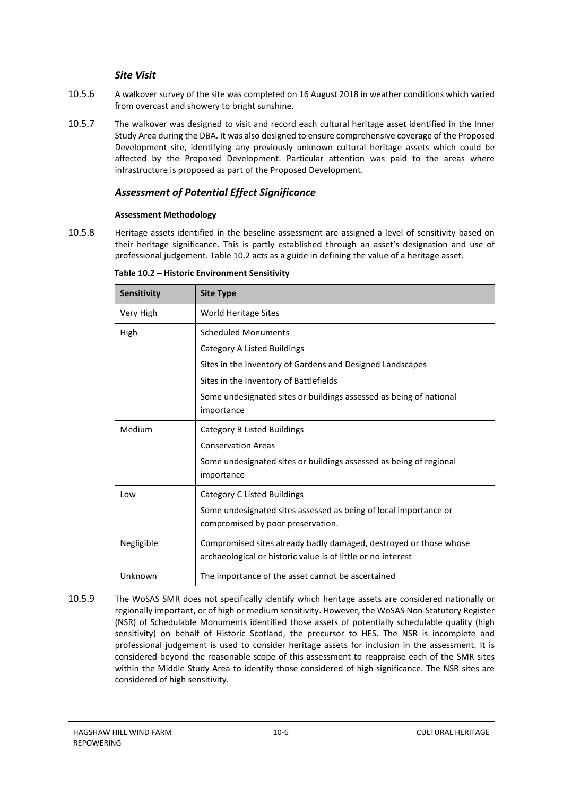### *Site Visit*

- 10.5.6 A walkover survey of the site was completed on 16 August 2018 in weather conditions which varied from overcast and showery to bright sunshine.
- <span id="page-7-1"></span>10.5.7 The walkover was designed to visit and record each cultural heritage asset identified in the Inner Study Area during the DBA. It was also designed to ensure comprehensive coverage of the Proposed Development site, identifying any previously unknown cultural heritage assets which could be affected by the Proposed Development. Particular attention was paid to the areas where infrastructure is proposed as part of the Proposed Development.

# *Assessment of Potential Effect Significance*

#### **Assessment Methodology**

<span id="page-7-0"></span>10.5.8 Heritage assets identified in the baseline assessment are assigned a level of sensitivity based on their heritage significance. This is partly established through an asset's designation and use of professional judgement[. Table 10.2](#page-7-0) acts as a guide in defining the value of a heritage asset.

| Sensitivity | <b>Site Type</b>                                                                                                                  |
|-------------|-----------------------------------------------------------------------------------------------------------------------------------|
| Very High   | World Heritage Sites                                                                                                              |
| High        | <b>Scheduled Monuments</b>                                                                                                        |
|             | Category A Listed Buildings                                                                                                       |
|             | Sites in the Inventory of Gardens and Designed Landscapes                                                                         |
|             | Sites in the Inventory of Battlefields                                                                                            |
|             | Some undesignated sites or buildings assessed as being of national<br>importance                                                  |
| Medium      | Category B Listed Buildings                                                                                                       |
|             | <b>Conservation Areas</b>                                                                                                         |
|             | Some undesignated sites or buildings assessed as being of regional<br>importance                                                  |
| Low         | <b>Category C Listed Buildings</b>                                                                                                |
|             | Some undesignated sites assessed as being of local importance or<br>compromised by poor preservation.                             |
| Negligible  | Compromised sites already badly damaged, destroyed or those whose<br>archaeological or historic value is of little or no interest |
| Unknown     | The importance of the asset cannot be ascertained                                                                                 |

**Table 10.2 – Historic Environment Sensitivity**

10.5.9 The WoSAS SMR does not specifically identify which heritage assets are considered nationally or regionally important, or of high or medium sensitivity. However, the WoSAS Non-Statutory Register (NSR) of Schedulable Monuments identified those assets of potentially schedulable quality (high sensitivity) on behalf of Historic Scotland, the precursor to HES. The NSR is incomplete and professional judgement is used to consider heritage assets for inclusion in the assessment. It is considered beyond the reasonable scope of this assessment to reappraise each of the SMR sites within the Middle Study Area to identify those considered of high significance. The NSR sites are considered of high sensitivity.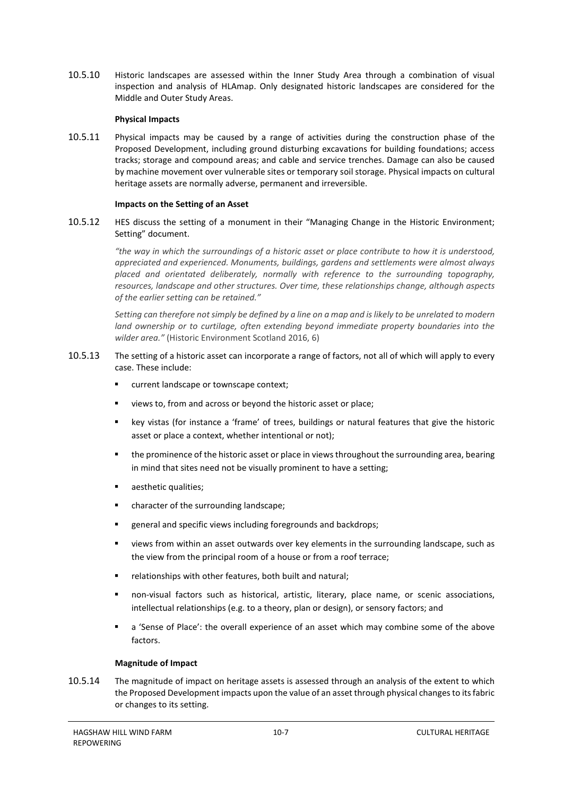10.5.10 Historic landscapes are assessed within the Inner Study Area through a combination of visual inspection and analysis of HLAmap. Only designated historic landscapes are considered for the Middle and Outer Study Areas.

#### **Physical Impacts**

10.5.11 Physical impacts may be caused by a range of activities during the construction phase of the Proposed Development, including ground disturbing excavations for building foundations; access tracks; storage and compound areas; and cable and service trenches. Damage can also be caused by machine movement over vulnerable sites or temporary soil storage. Physical impacts on cultural heritage assets are normally adverse, permanent and irreversible.

#### **Impacts on the Setting of an Asset**

<span id="page-8-0"></span>10.5.12 HES discuss the setting of a monument in their "Managing Change in the Historic Environment; Setting" document.

> *"the way in which the surroundings of a historic asset or place contribute to how it is understood, appreciated and experienced. Monuments, buildings, gardens and settlements were almost always placed and orientated deliberately, normally with reference to the surrounding topography, resources, landscape and other structures. Over time, these relationships change, although aspects of the earlier setting can be retained."*

> *Setting can therefore not simply be defined by a line on a map and is likely to be unrelated to modern land ownership or to curtilage, often extending beyond immediate property boundaries into the wilder area."* (Historic Environment Scotland 2016, 6)

#### 10.5.13 The setting of a historic asset can incorporate a range of factors, not all of which will apply to every case. These include:

- **EXECUTE:** Current landscape or townscape context;
- views to, from and across or beyond the historic asset or place;
- key vistas (for instance a 'frame' of trees, buildings or natural features that give the historic asset or place a context, whether intentional or not);
- **•** the prominence of the historic asset or place in views throughout the surrounding area, bearing in mind that sites need not be visually prominent to have a setting;
- **a**esthetic qualities;
- character of the surrounding landscape;
- **EXECTE:** general and specific views including foregrounds and backdrops;
- views from within an asset outwards over key elements in the surrounding landscape, such as the view from the principal room of a house or from a roof terrace;
- relationships with other features, both built and natural;
- non-visual factors such as historical, artistic, literary, place name, or scenic associations, intellectual relationships (e.g. to a theory, plan or design), or sensory factors; and
- a 'Sense of Place': the overall experience of an asset which may combine some of the above factors.

#### **Magnitude of Impact**

10.5.14 The magnitude of impact on heritage assets is assessed through an analysis of the extent to which the Proposed Development impacts upon the value of an asset through physical changes to its fabric or changes to its setting.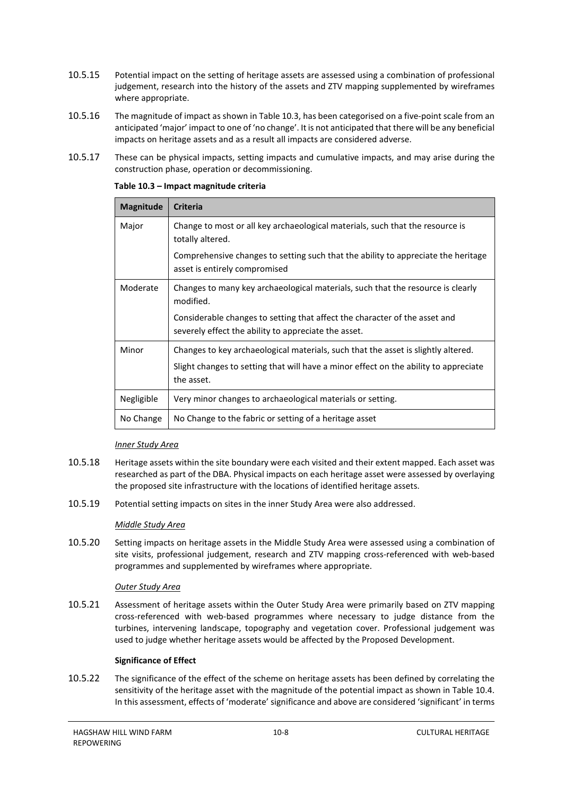- 10.5.15 Potential impact on the setting of heritage assets are assessed using a combination of professional judgement, research into the history of the assets and ZTV mapping supplemented by wireframes where appropriate.
- 10.5.16 The magnitude of impact as shown in [Table 10.3,](#page-9-0) has been categorised on a five-point scale from an anticipated 'major' impact to one of 'no change'. It is not anticipated that there will be any beneficial impacts on heritage assets and as a result all impacts are considered adverse.
- <span id="page-9-0"></span>10.5.17 These can be physical impacts, setting impacts and cumulative impacts, and may arise during the construction phase, operation or decommissioning.

| <b>Magnitude</b> | <b>Criteria</b>                                                                                                                    |
|------------------|------------------------------------------------------------------------------------------------------------------------------------|
| Major            | Change to most or all key archaeological materials, such that the resource is<br>totally altered.                                  |
|                  | Comprehensive changes to setting such that the ability to appreciate the heritage<br>asset is entirely compromised                 |
| Moderate         | Changes to many key archaeological materials, such that the resource is clearly<br>modified.                                       |
|                  | Considerable changes to setting that affect the character of the asset and<br>severely effect the ability to appreciate the asset. |
| Minor            | Changes to key archaeological materials, such that the asset is slightly altered.                                                  |
|                  | Slight changes to setting that will have a minor effect on the ability to appreciate<br>the asset.                                 |
| Negligible       | Very minor changes to archaeological materials or setting.                                                                         |
| No Change        | No Change to the fabric or setting of a heritage asset                                                                             |

#### **Table 10.3 – Impact magnitude criteria**

#### *Inner Study Area*

- 10.5.18 Heritage assets within the site boundary were each visited and their extent mapped. Each asset was researched as part of the DBA. Physical impacts on each heritage asset were assessed by overlaying the proposed site infrastructure with the locations of identified heritage assets.
- 10.5.19 Potential setting impacts on sites in the inner Study Area were also addressed.

#### *Middle Study Area*

10.5.20 Setting impacts on heritage assets in the Middle Study Area were assessed using a combination of site visits, professional judgement, research and ZTV mapping cross-referenced with web-based programmes and supplemented by wireframes where appropriate.

#### *Outer Study Area*

10.5.21 Assessment of heritage assets within the Outer Study Area were primarily based on ZTV mapping cross-referenced with web-based programmes where necessary to judge distance from the turbines, intervening landscape, topography and vegetation cover. Professional judgement was used to judge whether heritage assets would be affected by the Proposed Development.

#### **Significance of Effect**

<span id="page-9-1"></span>10.5.22 The significance of the effect of the scheme on heritage assets has been defined by correlating the sensitivity of the heritage asset with the magnitude of the potential impact as shown i[n Table 10.4.](#page-10-0) In this assessment, effects of 'moderate' significance and above are considered 'significant' in terms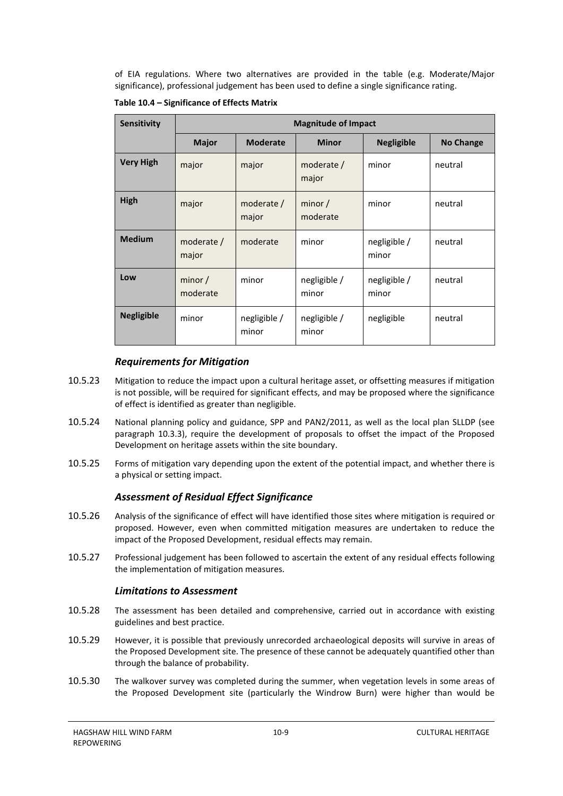of EIA regulations. Where two alternatives are provided in the table (e.g. Moderate/Major significance), professional judgement has been used to define a single significance rating.

<span id="page-10-0"></span>

| Table 10.4 – Significance of Effects Matrix |  |
|---------------------------------------------|--|
|---------------------------------------------|--|

| Sensitivity       | <b>Magnitude of Impact</b> |                       |                       |                       |                  |  |  |  |
|-------------------|----------------------------|-----------------------|-----------------------|-----------------------|------------------|--|--|--|
|                   | <b>Major</b>               | <b>Moderate</b>       | <b>Minor</b>          | <b>Negligible</b>     | <b>No Change</b> |  |  |  |
| <b>Very High</b>  | major                      | major                 | moderate/<br>major    | minor                 | neutral          |  |  |  |
| <b>High</b>       | major                      | moderate/<br>major    | minor /<br>moderate   | minor                 | neutral          |  |  |  |
| <b>Medium</b>     | moderate/<br>major         | moderate              | minor                 | negligible /<br>minor | neutral          |  |  |  |
| Low               | minor /<br>moderate        | minor                 | negligible /<br>minor | negligible /<br>minor | neutral          |  |  |  |
| <b>Negligible</b> | minor                      | negligible /<br>minor | negligible /<br>minor | negligible            | neutral          |  |  |  |

# *Requirements for Mitigation*

- <span id="page-10-1"></span>10.5.23 Mitigation to reduce the impact upon a cultural heritage asset, or offsetting measures if mitigation is not possible, will be required for significant effects, and may be proposed where the significance of effect is identified as greater than negligible.
- 10.5.24 National planning policy and guidance, SPP and PAN2/2011, as well as the local plan SLLDP (see paragraph [10.3.3\)](#page-3-1), require the development of proposals to offset the impact of the Proposed Development on heritage assets within the site boundary.
- 10.5.25 Forms of mitigation vary depending upon the extent of the potential impact, and whether there is a physical or setting impact.

# *Assessment of Residual Effect Significance*

- 10.5.26 Analysis of the significance of effect will have identified those sites where mitigation is required or proposed. However, even when committed mitigation measures are undertaken to reduce the impact of the Proposed Development, residual effects may remain.
- 10.5.27 Professional judgement has been followed to ascertain the extent of any residual effects following the implementation of mitigation measures.

#### *Limitations to Assessment*

- 10.5.28 The assessment has been detailed and comprehensive, carried out in accordance with existing guidelines and best practice.
- 10.5.29 However, it is possible that previously unrecorded archaeological deposits will survive in areas of the Proposed Development site. The presence of these cannot be adequately quantified other than through the balance of probability.
- 10.5.30 The walkover survey was completed during the summer, when vegetation levels in some areas of the Proposed Development site (particularly the Windrow Burn) were higher than would be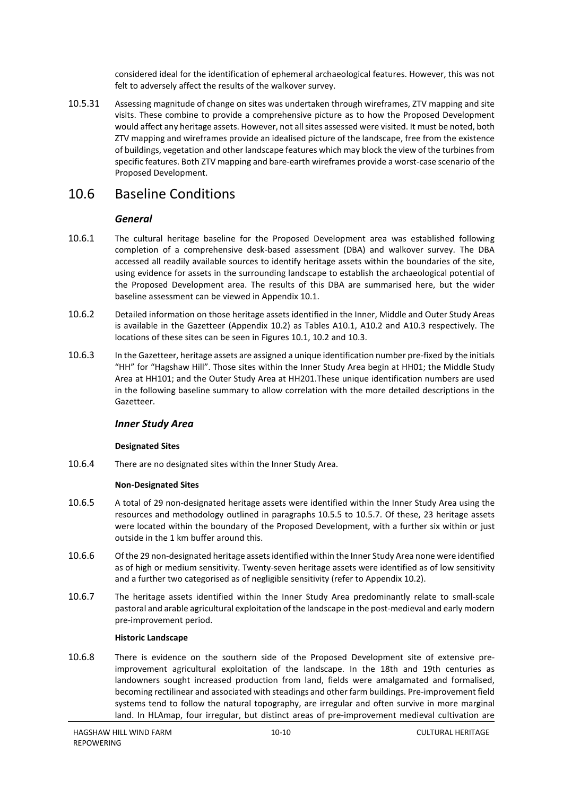considered ideal for the identification of ephemeral archaeological features. However, this was not felt to adversely affect the results of the walkover survey.

10.5.31 Assessing magnitude of change on sites was undertaken through wireframes, ZTV mapping and site visits. These combine to provide a comprehensive picture as to how the Proposed Development would affect any heritage assets. However, not all sites assessed were visited. It must be noted, both ZTV mapping and wireframes provide an idealised picture of the landscape, free from the existence of buildings, vegetation and other landscape features which may block the view of the turbines from specific features. Both ZTV mapping and bare-earth wireframes provide a worst-case scenario of the Proposed Development.

# <span id="page-11-0"></span>10.6 Baseline Conditions

### *General*

- 10.6.1 The cultural heritage baseline for the Proposed Development area was established following completion of a comprehensive desk-based assessment (DBA) and walkover survey. The DBA accessed all readily available sources to identify heritage assets within the boundaries of the site, using evidence for assets in the surrounding landscape to establish the archaeological potential of the Proposed Development area. The results of this DBA are summarised here, but the wider baseline assessment can be viewed in Appendix 10.1.
- 10.6.2 Detailed information on those heritage assets identified in the Inner, Middle and Outer Study Areas is available in the Gazetteer (Appendix 10.2) as Tables A10.1, A10.2 and A10.3 respectively. The locations of these sites can be seen in Figures 10.1, 10.2 and 10.3.
- 10.6.3 In the Gazetteer, heritage assets are assigned a unique identification number pre-fixed by the initials "HH" for "Hagshaw Hill". Those sites within the Inner Study Area begin at HH01; the Middle Study Area at HH101; and the Outer Study Area at HH201.These unique identification numbers are used in the following baseline summary to allow correlation with the more detailed descriptions in the Gazetteer.

# *Inner Study Area*

#### **Designated Sites**

10.6.4 There are no designated sites within the Inner Study Area.

#### **Non-Designated Sites**

- 10.6.5 A total of 29 non-designated heritage assets were identified within the Inner Study Area using the resources and methodology outlined in paragraphs [10.5.5](#page-6-0) to [10.5.7.](#page-7-1) Of these, 23 heritage assets were located within the boundary of the Proposed Development, with a further six within or just outside in the 1 km buffer around this.
- 10.6.6 Of the 29 non-designated heritage assets identified within the Inner Study Area none were identified as of high or medium sensitivity. Twenty-seven heritage assets were identified as of low sensitivity and a further two categorised as of negligible sensitivity (refer to Appendix 10.2).
- 10.6.7 The heritage assets identified within the Inner Study Area predominantly relate to small-scale pastoral and arable agricultural exploitation of the landscape in the post-medieval and early modern pre-improvement period.

#### **Historic Landscape**

10.6.8 There is evidence on the southern side of the Proposed Development site of extensive preimprovement agricultural exploitation of the landscape. In the 18th and 19th centuries as landowners sought increased production from land, fields were amalgamated and formalised, becoming rectilinear and associated with steadings and other farm buildings. Pre-improvement field systems tend to follow the natural topography, are irregular and often survive in more marginal land. In HLAmap, four irregular, but distinct areas of pre-improvement medieval cultivation are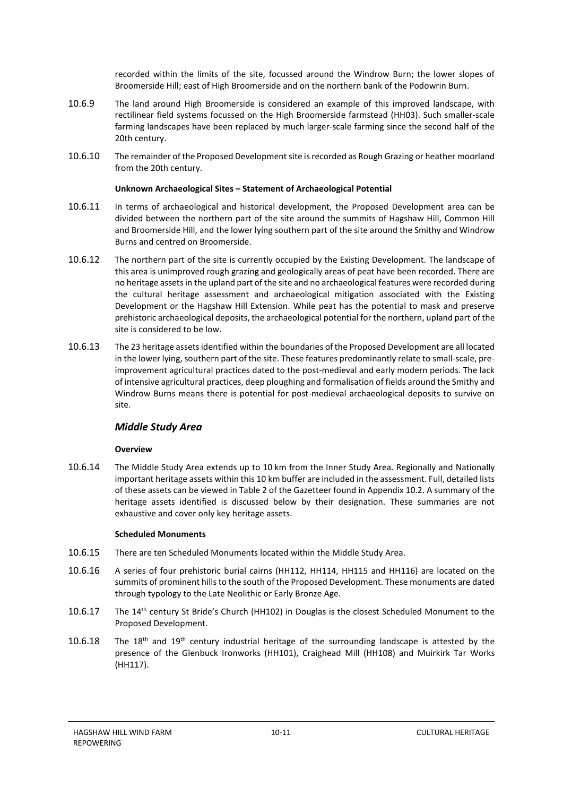recorded within the limits of the site, focussed around the Windrow Burn; the lower slopes of Broomerside Hill; east of High Broomerside and on the northern bank of the Podowrin Burn.

- 10.6.9 The land around High Broomerside is considered an example of this improved landscape, with rectilinear field systems focussed on the High Broomerside farmstead (HH03). Such smaller-scale farming landscapes have been replaced by much larger-scale farming since the second half of the 20th century.
- 10.6.10 The remainder of the Proposed Development site is recorded as Rough Grazing or heather moorland from the 20th century.

#### **Unknown Archaeological Sites – Statement of Archaeological Potential**

- 10.6.11 In terms of archaeological and historical development, the Proposed Development area can be divided between the northern part of the site around the summits of Hagshaw Hill, Common Hill and Broomerside Hill, and the lower lying southern part of the site around the Smithy and Windrow Burns and centred on Broomerside.
- 10.6.12 The northern part of the site is currently occupied by the Existing Development. The landscape of this area is unimproved rough grazing and geologically areas of peat have been recorded. There are no heritage assets in the upland part of the site and no archaeological features were recorded during the cultural heritage assessment and archaeological mitigation associated with the Existing Development or the Hagshaw Hill Extension. While peat has the potential to mask and preserve prehistoric archaeological deposits, the archaeological potential for the northern, upland part of the site is considered to be low.
- 10.6.13 The 23 heritage assets identified within the boundaries of the Proposed Development are all located in the lower lying, southern part of the site. These features predominantly relate to small-scale, preimprovement agricultural practices dated to the post-medieval and early modern periods. The lack of intensive agricultural practices, deep ploughing and formalisation of fields around the Smithy and Windrow Burns means there is potential for post-medieval archaeological deposits to survive on site.

# *Middle Study Area*

#### **Overview**

10.6.14 The Middle Study Area extends up to 10 km from the Inner Study Area. Regionally and Nationally important heritage assets within this 10 km buffer are included in the assessment. Full, detailed lists of these assets can be viewed in Table 2 of the Gazetteer found in Appendix 10.2. A summary of the heritage assets identified is discussed below by their designation. These summaries are not exhaustive and cover only key heritage assets.

#### **Scheduled Monuments**

- 10.6.15 There are ten Scheduled Monuments located within the Middle Study Area.
- <span id="page-12-1"></span>10.6.16 A series of four prehistoric burial cairns (HH112, HH114, HH115 and HH116) are located on the summits of prominent hills to the south of the Proposed Development. These monuments are dated through typology to the Late Neolithic or Early Bronze Age.
- <span id="page-12-0"></span>10.6.17 The 14<sup>th</sup> century St Bride's Church (HH102) in Douglas is the closest Scheduled Monument to the Proposed Development.
- 10.6.18 The  $18<sup>th</sup>$  and  $19<sup>th</sup>$  century industrial heritage of the surrounding landscape is attested by the presence of the Glenbuck Ironworks (HH101), Craighead Mill (HH108) and Muirkirk Tar Works (HH117).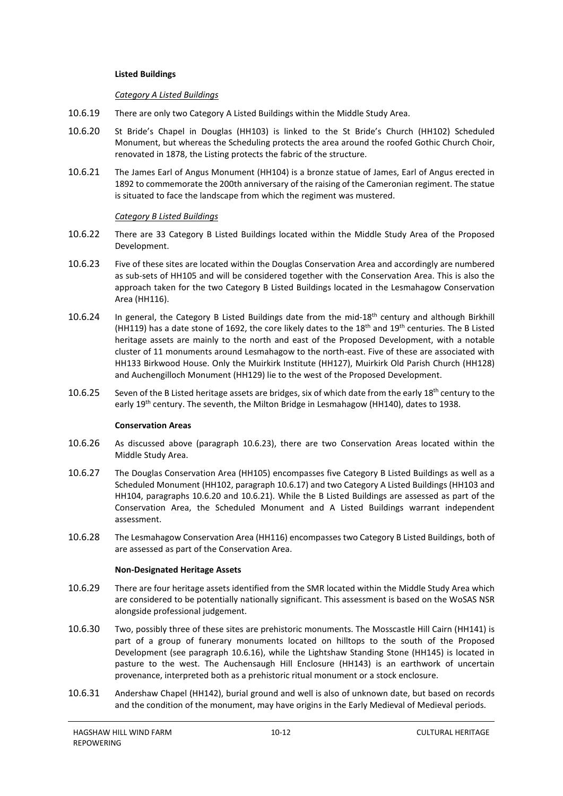#### **Listed Buildings**

#### *Category A Listed Buildings*

- 10.6.19 There are only two Category A Listed Buildings within the Middle Study Area.
- <span id="page-13-1"></span>10.6.20 St Bride's Chapel in Douglas (HH103) is linked to the St Bride's Church (HH102) Scheduled Monument, but whereas the Scheduling protects the area around the roofed Gothic Church Choir, renovated in 1878, the Listing protects the fabric of the structure.
- <span id="page-13-2"></span>10.6.21 The James Earl of Angus Monument (HH104) is a bronze statue of James, Earl of Angus erected in 1892 to commemorate the 200th anniversary of the raising of the Cameronian regiment. The statue is situated to face the landscape from which the regiment was mustered.

#### *Category B Listed Buildings*

- 10.6.22 There are 33 Category B Listed Buildings located within the Middle Study Area of the Proposed Development.
- <span id="page-13-0"></span>10.6.23 Five of these sites are located within the Douglas Conservation Area and accordingly are numbered as sub-sets of HH105 and will be considered together with the Conservation Area. This is also the approach taken for the two Category B Listed Buildings located in the Lesmahagow Conservation Area (HH116).
- 10.6.24 In general, the Category B Listed Buildings date from the mid-18<sup>th</sup> century and although Birkhill (HH119) has a date stone of 1692, the core likely dates to the  $18<sup>th</sup>$  and  $19<sup>th</sup>$  centuries. The B Listed heritage assets are mainly to the north and east of the Proposed Development, with a notable cluster of 11 monuments around Lesmahagow to the north-east. Five of these are associated with HH133 Birkwood House. Only the Muirkirk Institute (HH127), Muirkirk Old Parish Church (HH128) and Auchengilloch Monument (HH129) lie to the west of the Proposed Development.
- 10.6.25 Seven of the B Listed heritage assets are bridges, six of which date from the early  $18^{th}$  century to the early 19<sup>th</sup> century. The seventh, the Milton Bridge in Lesmahagow (HH140), dates to 1938.

#### **Conservation Areas**

- 10.6.26 As discussed above (paragraph [10.6.23\)](#page-13-0), there are two Conservation Areas located within the Middle Study Area.
- 10.6.27 The Douglas Conservation Area (HH105) encompasses five Category B Listed Buildings as well as a Scheduled Monument (HH102, paragraph [10.6.17\)](#page-12-0) and two Category A Listed Buildings (HH103 and HH104, paragraphs [10.6.20](#page-13-1) and [10.6.21\)](#page-13-2). While the B Listed Buildings are assessed as part of the Conservation Area, the Scheduled Monument and A Listed Buildings warrant independent assessment.
- 10.6.28 The Lesmahagow Conservation Area (HH116) encompasses two Category B Listed Buildings, both of are assessed as part of the Conservation Area.

#### **Non-Designated Heritage Assets**

- 10.6.29 There are four heritage assets identified from the SMR located within the Middle Study Area which are considered to be potentially nationally significant. This assessment is based on the WoSAS NSR alongside professional judgement.
- 10.6.30 Two, possibly three of these sites are prehistoric monuments. The Mosscastle Hill Cairn (HH141) is part of a group of funerary monuments located on hilltops to the south of the Proposed Development (see paragraph [10.6.16\)](#page-12-1), while the Lightshaw Standing Stone (HH145) is located in pasture to the west. The Auchensaugh Hill Enclosure (HH143) is an earthwork of uncertain provenance, interpreted both as a prehistoric ritual monument or a stock enclosure.
- 10.6.31 Andershaw Chapel (HH142), burial ground and well is also of unknown date, but based on records and the condition of the monument, may have origins in the Early Medieval of Medieval periods.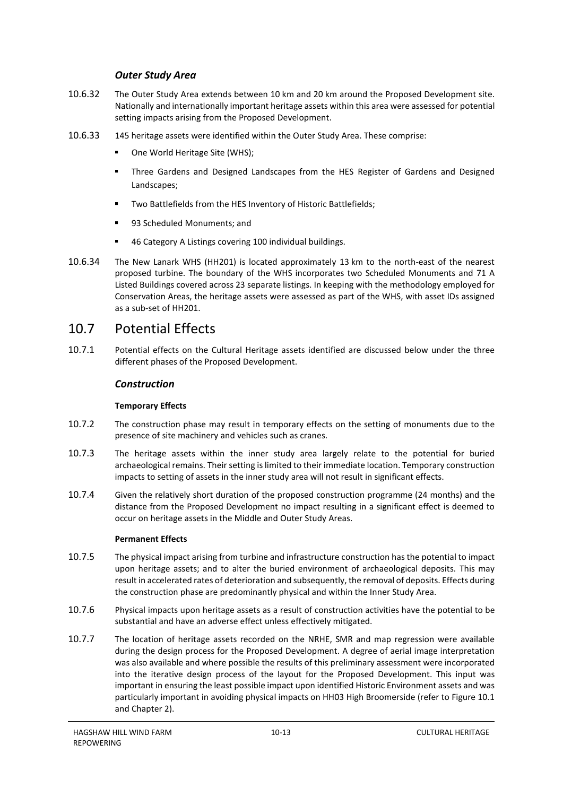# *Outer Study Area*

- 10.6.32 The Outer Study Area extends between 10 km and 20 km around the Proposed Development site. Nationally and internationally important heritage assets within this area were assessed for potential setting impacts arising from the Proposed Development.
- 10.6.33 145 heritage assets were identified within the Outer Study Area. These comprise:
	- One World Heritage Site (WHS);
	- Three Gardens and Designed Landscapes from the HES Register of Gardens and Designed Landscapes;
	- **TWO Battlefields from the HES Inventory of Historic Battlefields:**
	- 93 Scheduled Monuments; and
	- 46 Category A Listings covering 100 individual buildings.
- 10.6.34 The New Lanark WHS (HH201) is located approximately 13 km to the north-east of the nearest proposed turbine. The boundary of the WHS incorporates two Scheduled Monuments and 71 A Listed Buildings covered across 23 separate listings. In keeping with the methodology employed for Conservation Areas, the heritage assets were assessed as part of the WHS, with asset IDs assigned as a sub-set of HH201.

# <span id="page-14-0"></span>10.7 Potential Effects

10.7.1 Potential effects on the Cultural Heritage assets identified are discussed below under the three different phases of the Proposed Development.

### *Construction*

#### **Temporary Effects**

- 10.7.2 The construction phase may result in temporary effects on the setting of monuments due to the presence of site machinery and vehicles such as cranes.
- 10.7.3 The heritage assets within the inner study area largely relate to the potential for buried archaeological remains. Their setting is limited to their immediate location. Temporary construction impacts to setting of assets in the inner study area will not result in significant effects.
- 10.7.4 Given the relatively short duration of the proposed construction programme (24 months) and the distance from the Proposed Development no impact resulting in a significant effect is deemed to occur on heritage assets in the Middle and Outer Study Areas.

#### **Permanent Effects**

- 10.7.5 The physical impact arising from turbine and infrastructure construction has the potential to impact upon heritage assets; and to alter the buried environment of archaeological deposits. This may result in accelerated rates of deterioration and subsequently, the removal of deposits. Effects during the construction phase are predominantly physical and within the Inner Study Area.
- 10.7.6 Physical impacts upon heritage assets as a result of construction activities have the potential to be substantial and have an adverse effect unless effectively mitigated.
- 10.7.7 The location of heritage assets recorded on the NRHE, SMR and map regression were available during the design process for the Proposed Development. A degree of aerial image interpretation was also available and where possible the results of this preliminary assessment were incorporated into the iterative design process of the layout for the Proposed Development. This input was important in ensuring the least possible impact upon identified Historic Environment assets and was particularly important in avoiding physical impacts on HH03 High Broomerside (refer to Figure 10.1 and Chapter 2).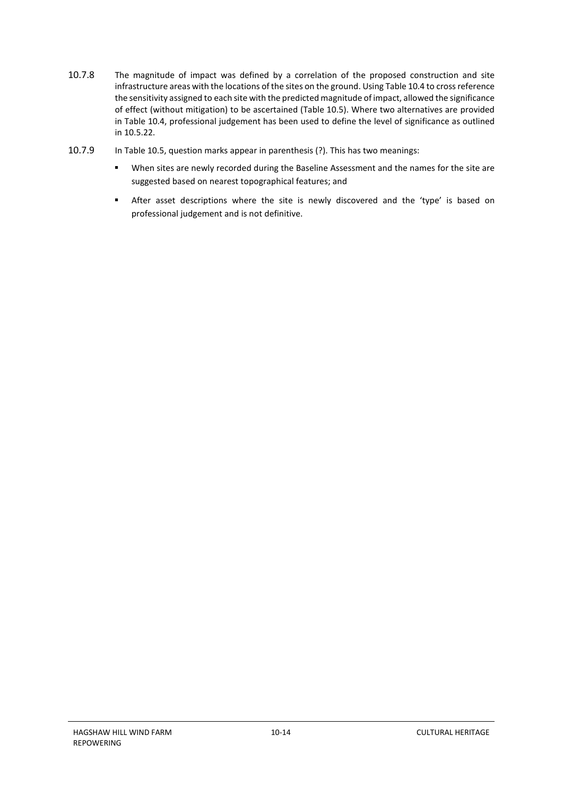- 10.7.8 The magnitude of impact was defined by a correlation of the proposed construction and site infrastructure areas with the locations of the sites on the ground. Usin[g Table 10.4](#page-10-0) to cross reference the sensitivity assigned to each site with the predicted magnitude of impact, allowed the significance of effect (without mitigation) to be ascertained [\(Table 10.5\)](#page-16-0). Where two alternatives are provided i[n Table 10.4,](#page-10-0) professional judgement has been used to define the level of significance as outlined i[n 10.5.22.](#page-10-1)
- 10.7.9 I[n Table 10.5,](#page-16-0) question marks appear in parenthesis (?). This has two meanings:
	- When sites are newly recorded during the Baseline Assessment and the names for the site are suggested based on nearest topographical features; and
	- After asset descriptions where the site is newly discovered and the 'type' is based on professional judgement and is not definitive.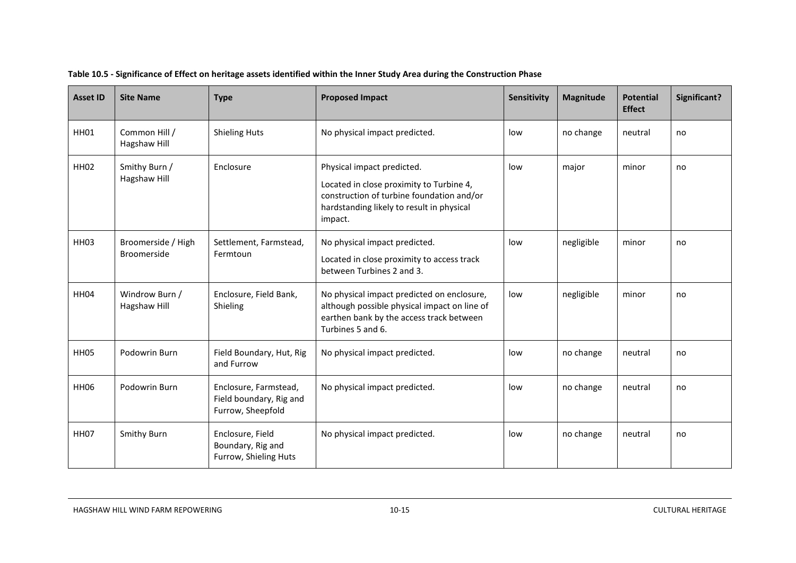<span id="page-16-0"></span>

| <b>Asset ID</b>  | <b>Site Name</b>                  | <b>Type</b>                                                           | <b>Proposed Impact</b>                                                                                                                                                      | Sensitivity | Magnitude  | <b>Potential</b><br><b>Effect</b> | Significant? |
|------------------|-----------------------------------|-----------------------------------------------------------------------|-----------------------------------------------------------------------------------------------------------------------------------------------------------------------------|-------------|------------|-----------------------------------|--------------|
| HH01             | Common Hill /<br>Hagshaw Hill     | <b>Shieling Huts</b>                                                  | No physical impact predicted.                                                                                                                                               | low         | no change  | neutral                           | no           |
| HH <sub>02</sub> | Smithy Burn /<br>Hagshaw Hill     | Enclosure                                                             | Physical impact predicted.<br>Located in close proximity to Turbine 4,<br>construction of turbine foundation and/or<br>hardstanding likely to result in physical<br>impact. | low         | major      | minor                             | no           |
| HH <sub>03</sub> | Broomerside / High<br>Broomerside | Settlement, Farmstead,<br>Fermtoun                                    | No physical impact predicted.<br>Located in close proximity to access track<br>between Turbines 2 and 3.                                                                    | low         | negligible | minor                             | no           |
| HH04             | Windrow Burn /<br>Hagshaw Hill    | Enclosure, Field Bank,<br>Shieling                                    | No physical impact predicted on enclosure,<br>although possible physical impact on line of<br>earthen bank by the access track between<br>Turbines 5 and 6.                 | low         | negligible | minor                             | no           |
| HH <sub>05</sub> | Podowrin Burn                     | Field Boundary, Hut, Rig<br>and Furrow                                | No physical impact predicted.                                                                                                                                               | low         | no change  | neutral                           | no           |
| <b>HH06</b>      | Podowrin Burn                     | Enclosure, Farmstead,<br>Field boundary, Rig and<br>Furrow, Sheepfold | No physical impact predicted.                                                                                                                                               | low         | no change  | neutral                           | no           |
| HH <sub>07</sub> | Smithy Burn                       | Enclosure, Field<br>Boundary, Rig and<br>Furrow, Shieling Huts        | No physical impact predicted.                                                                                                                                               | low         | no change  | neutral                           | no           |

# **Table 10.5 - Significance of Effect on heritage assets identified within the Inner Study Area during the Construction Phase**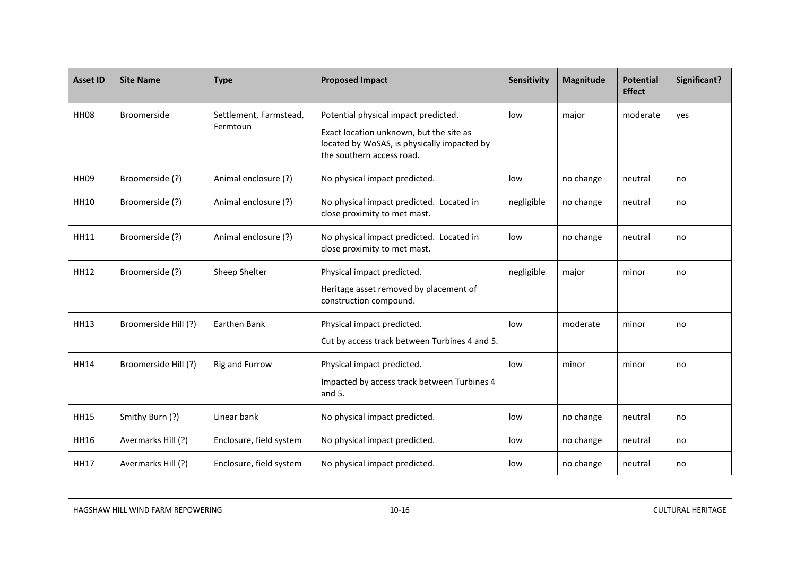| <b>Asset ID</b>  | <b>Site Name</b>     | <b>Type</b>                        | <b>Proposed Impact</b>                                                                                                                                      | Sensitivity | Magnitude | <b>Potential</b><br><b>Effect</b> | Significant? |
|------------------|----------------------|------------------------------------|-------------------------------------------------------------------------------------------------------------------------------------------------------------|-------------|-----------|-----------------------------------|--------------|
| <b>HH08</b>      | Broomerside          | Settlement, Farmstead,<br>Fermtoun | Potential physical impact predicted.<br>Exact location unknown, but the site as<br>located by WoSAS, is physically impacted by<br>the southern access road. | low         | major     | moderate                          | yes          |
| HH <sub>09</sub> | Broomerside (?)      | Animal enclosure (?)               | No physical impact predicted.                                                                                                                               | low         | no change | neutral                           | no           |
| <b>HH10</b>      | Broomerside (?)      | Animal enclosure (?)               | No physical impact predicted. Located in<br>close proximity to met mast.                                                                                    | negligible  | no change | neutral                           | no           |
| <b>HH11</b>      | Broomerside (?)      | Animal enclosure (?)               | No physical impact predicted. Located in<br>close proximity to met mast.                                                                                    | low         | no change | neutral                           | no           |
| <b>HH12</b>      | Broomerside (?)      | Sheep Shelter                      | Physical impact predicted.<br>Heritage asset removed by placement of<br>construction compound.                                                              | negligible  | major     | minor                             | no           |
| <b>HH13</b>      | Broomerside Hill (?) | <b>Earthen Bank</b>                | Physical impact predicted.<br>Cut by access track between Turbines 4 and 5.                                                                                 | low         | moderate  | minor                             | no           |
| <b>HH14</b>      | Broomerside Hill (?) | Rig and Furrow                     | Physical impact predicted.<br>Impacted by access track between Turbines 4<br>and 5.                                                                         | low         | minor     | minor                             | no           |
| <b>HH15</b>      | Smithy Burn (?)      | Linear bank                        | No physical impact predicted.                                                                                                                               | low         | no change | neutral                           | no           |
| <b>HH16</b>      | Avermarks Hill (?)   | Enclosure, field system            | No physical impact predicted.                                                                                                                               | low         | no change | neutral                           | no           |
| <b>HH17</b>      | Avermarks Hill (?)   | Enclosure, field system            | No physical impact predicted.                                                                                                                               | low         | no change | neutral                           | no           |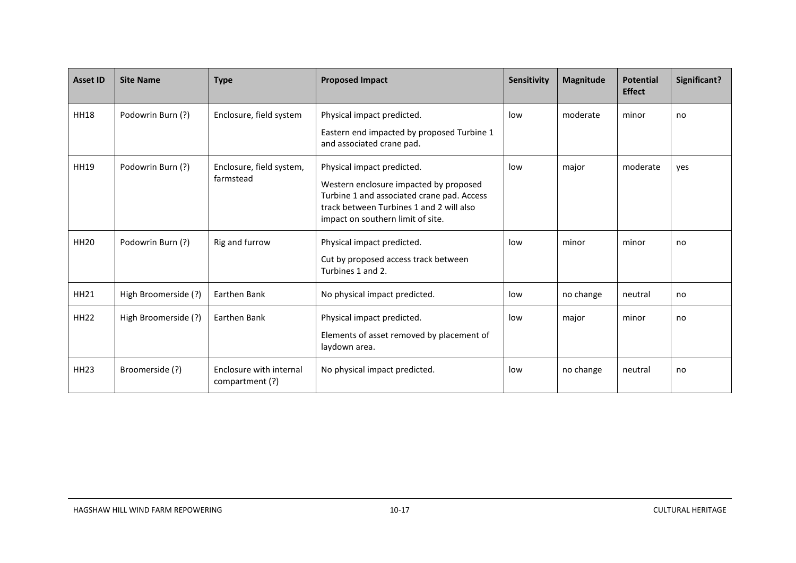| <b>Asset ID</b> | <b>Site Name</b>     | <b>Type</b>                                | <b>Proposed Impact</b>                                                                                                                                                                              | <b>Sensitivity</b> | <b>Magnitude</b> | <b>Potential</b><br><b>Effect</b> | Significant? |
|-----------------|----------------------|--------------------------------------------|-----------------------------------------------------------------------------------------------------------------------------------------------------------------------------------------------------|--------------------|------------------|-----------------------------------|--------------|
| <b>HH18</b>     | Podowrin Burn (?)    | Enclosure, field system                    | Physical impact predicted.<br>Eastern end impacted by proposed Turbine 1<br>and associated crane pad.                                                                                               | low                | moderate         | minor                             | no           |
| <b>HH19</b>     | Podowrin Burn (?)    | Enclosure, field system,<br>farmstead      | Physical impact predicted.<br>Western enclosure impacted by proposed<br>Turbine 1 and associated crane pad. Access<br>track between Turbines 1 and 2 will also<br>impact on southern limit of site. | low                | major            | moderate                          | yes          |
| <b>HH20</b>     | Podowrin Burn (?)    | Rig and furrow                             | Physical impact predicted.<br>Cut by proposed access track between<br>Turbines 1 and 2.                                                                                                             | low                | minor            | minor                             | no           |
| <b>HH21</b>     | High Broomerside (?) | Earthen Bank                               | No physical impact predicted.                                                                                                                                                                       | low                | no change        | neutral                           | no           |
| <b>HH22</b>     | High Broomerside (?) | Earthen Bank                               | Physical impact predicted.<br>Elements of asset removed by placement of<br>laydown area.                                                                                                            | low                | major            | minor                             | no           |
| <b>HH23</b>     | Broomerside (?)      | Enclosure with internal<br>compartment (?) | No physical impact predicted.                                                                                                                                                                       | low                | no change        | neutral                           | no           |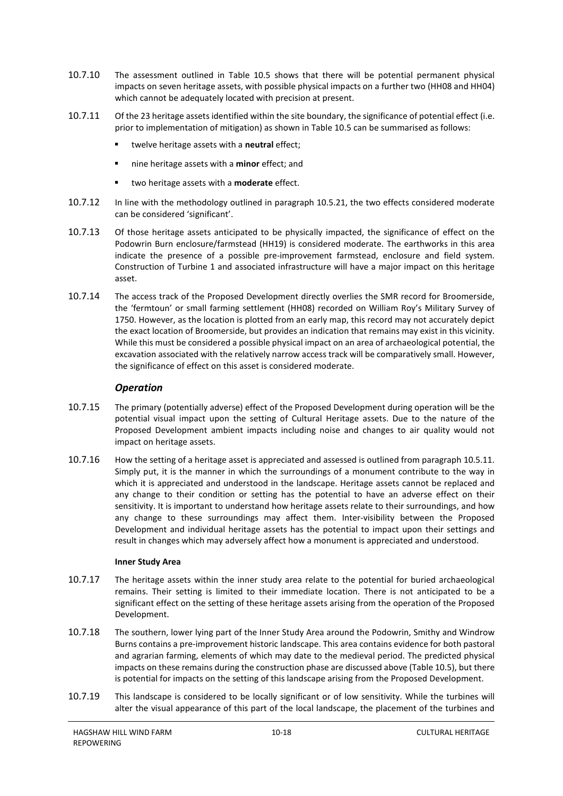- 10.7.10 The assessment outlined in [Table 10.5](#page-16-0) shows that there will be potential permanent physical impacts on seven heritage assets, with possible physical impacts on a further two (HH08 and HH04) which cannot be adequately located with precision at present.
- 10.7.11 Of the 23 heritage assets identified within the site boundary, the significance of potential effect (i.e. prior to implementation of mitigation) as shown i[n Table 10.5](#page-16-0) can be summarised as follows:
	- **u** twelve heritage assets with a **neutral** effect;
	- nine heritage assets with a **minor** effect; and
	- two heritage assets with a **moderate** effect.
- 10.7.12 In line with the methodology outlined in paragraph [10.5.21,](#page-9-1) the two effects considered moderate can be considered 'significant'.
- 10.7.13 Of those heritage assets anticipated to be physically impacted, the significance of effect on the Podowrin Burn enclosure/farmstead (HH19) is considered moderate. The earthworks in this area indicate the presence of a possible pre-improvement farmstead, enclosure and field system. Construction of Turbine 1 and associated infrastructure will have a major impact on this heritage asset.
- 10.7.14 The access track of the Proposed Development directly overlies the SMR record for Broomerside, the 'fermtoun' or small farming settlement (HH08) recorded on William Roy's Military Survey of 1750. However, as the location is plotted from an early map, this record may not accurately depict the exact location of Broomerside, but provides an indication that remains may exist in this vicinity. While this must be considered a possible physical impact on an area of archaeological potential, the excavation associated with the relatively narrow access track will be comparatively small. However, the significance of effect on this asset is considered moderate.

# *Operation*

- 10.7.15 The primary (potentially adverse) effect of the Proposed Development during operation will be the potential visual impact upon the setting of Cultural Heritage assets. Due to the nature of the Proposed Development ambient impacts including noise and changes to air quality would not impact on heritage assets.
- 10.7.16 How the setting of a heritage asset is appreciated and assessed is outlined from paragrap[h 10.5.11.](#page-8-0) Simply put, it is the manner in which the surroundings of a monument contribute to the way in which it is appreciated and understood in the landscape. Heritage assets cannot be replaced and any change to their condition or setting has the potential to have an adverse effect on their sensitivity. It is important to understand how heritage assets relate to their surroundings, and how any change to these surroundings may affect them. Inter-visibility between the Proposed Development and individual heritage assets has the potential to impact upon their settings and result in changes which may adversely affect how a monument is appreciated and understood.

# **Inner Study Area**

- 10.7.17 The heritage assets within the inner study area relate to the potential for buried archaeological remains. Their setting is limited to their immediate location. There is not anticipated to be a significant effect on the setting of these heritage assets arising from the operation of the Proposed Development.
- 10.7.18 The southern, lower lying part of the Inner Study Area around the Podowrin, Smithy and Windrow Burns contains a pre-improvement historic landscape. This area contains evidence for both pastoral and agrarian farming, elements of which may date to the medieval period. The predicted physical impacts on these remains during the construction phase are discussed above [\(Table 10.5\)](#page-16-0), but there is potential for impacts on the setting of this landscape arising from the Proposed Development.
- 10.7.19 This landscape is considered to be locally significant or of low sensitivity. While the turbines will alter the visual appearance of this part of the local landscape, the placement of the turbines and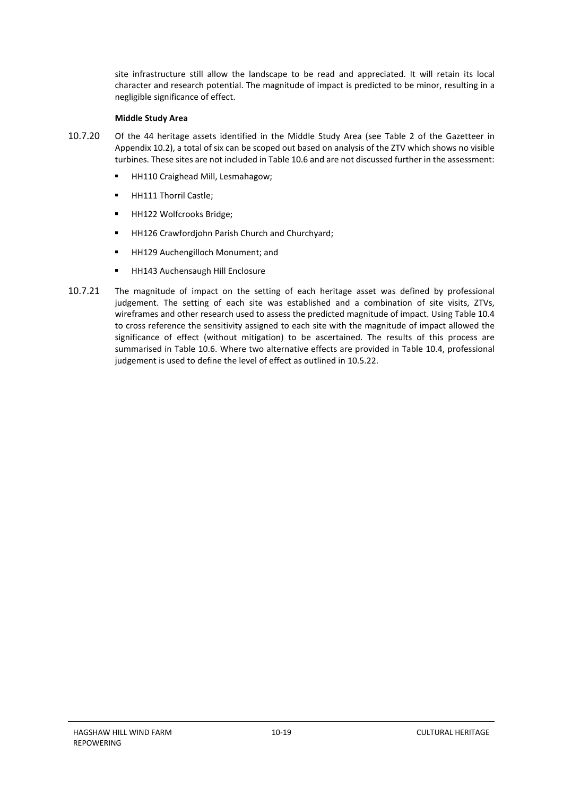site infrastructure still allow the landscape to be read and appreciated. It will retain its local character and research potential. The magnitude of impact is predicted to be minor, resulting in a negligible significance of effect.

#### **Middle Study Area**

- 10.7.20 Of the 44 heritage assets identified in the Middle Study Area (see Table 2 of the Gazetteer in Appendix 10.2), a total of six can be scoped out based on analysis of the ZTV which shows no visible turbines. These sites are not included in Table 10.6 and are not discussed further in the assessment:
	- **HH110 Craighead Mill, Lesmahagow;**
	- **HH111 Thorril Castle;**
	- **HH122 Wolfcrooks Bridge;**
	- **HH126 Crawfordjohn Parish Church and Churchyard;**
	- **HH129 Auchengilloch Monument; and**
	- **HH143 Auchensaugh Hill Enclosure**
- 10.7.21 The magnitude of impact on the setting of each heritage asset was defined by professional judgement. The setting of each site was established and a combination of site visits, ZTVs, wireframes and other research used to assess the predicted magnitude of impact. Using [Table 10.4](#page-10-0) to cross reference the sensitivity assigned to each site with the magnitude of impact allowed the significance of effect (without mitigation) to be ascertained. The results of this process are summarised in Table 10.6. Where two alternative effects are provided in [Table 10.4,](#page-10-0) professional judgement is used to define the level of effect as outlined i[n 10.5.22.](#page-10-1)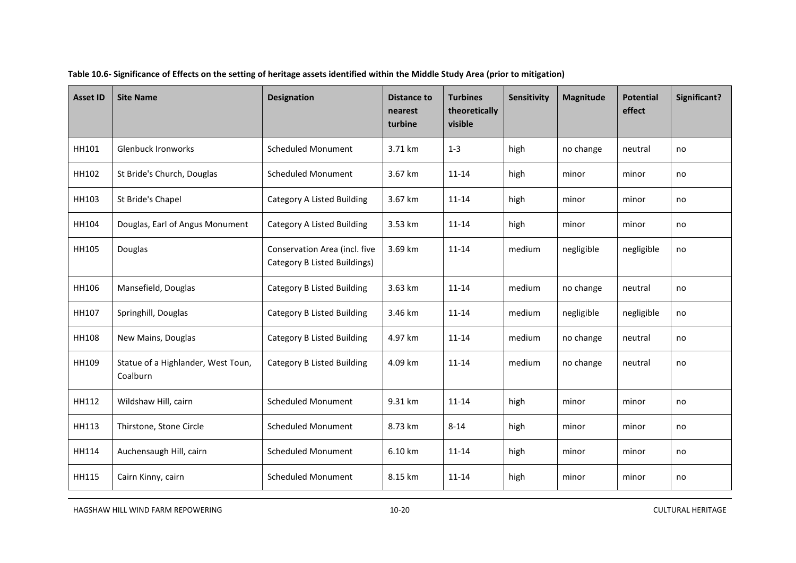| <b>Asset ID</b> | <b>Site Name</b>                               | <b>Designation</b>                                            | <b>Distance to</b><br>nearest<br>turbine | <b>Turbines</b><br>theoretically<br>visible | Sensitivity | Magnitude  | <b>Potential</b><br>effect | Significant? |
|-----------------|------------------------------------------------|---------------------------------------------------------------|------------------------------------------|---------------------------------------------|-------------|------------|----------------------------|--------------|
| HH101           | <b>Glenbuck Ironworks</b>                      | <b>Scheduled Monument</b>                                     | 3.71 km                                  | $1 - 3$                                     | high        | no change  | neutral                    | no           |
| HH102           | St Bride's Church, Douglas                     | <b>Scheduled Monument</b>                                     | 3.67 km                                  | $11 - 14$                                   | high        | minor      | minor                      | no           |
| HH103           | St Bride's Chapel                              | Category A Listed Building                                    | 3.67 km                                  | $11 - 14$                                   | high        | minor      | minor                      | no           |
| HH104           | Douglas, Earl of Angus Monument                | Category A Listed Building                                    | 3.53 km                                  | $11 - 14$                                   | high        | minor      | minor                      | no           |
| HH105           | Douglas                                        | Conservation Area (incl. five<br>Category B Listed Buildings) | 3.69 km                                  | $11 - 14$                                   | medium      | negligible | negligible                 | no           |
| HH106           | Mansefield, Douglas                            | Category B Listed Building                                    | 3.63 km                                  | $11 - 14$                                   | medium      | no change  | neutral                    | no           |
| HH107           | Springhill, Douglas                            | Category B Listed Building                                    | 3.46 km                                  | $11 - 14$                                   | medium      | negligible | negligible                 | no           |
| <b>HH108</b>    | New Mains, Douglas                             | Category B Listed Building                                    | 4.97 km                                  | $11 - 14$                                   | medium      | no change  | neutral                    | no           |
| HH109           | Statue of a Highlander, West Toun,<br>Coalburn | Category B Listed Building                                    | 4.09 km                                  | $11 - 14$                                   | medium      | no change  | neutral                    | no           |
| HH112           | Wildshaw Hill, cairn                           | <b>Scheduled Monument</b>                                     | 9.31 km                                  | $11 - 14$                                   | high        | minor      | minor                      | no           |
| HH113           | Thirstone, Stone Circle                        | <b>Scheduled Monument</b>                                     | 8.73 km                                  | $8 - 14$                                    | high        | minor      | minor                      | no           |
| HH114           | Auchensaugh Hill, cairn                        | <b>Scheduled Monument</b>                                     | 6.10 km                                  | $11 - 14$                                   | high        | minor      | minor                      | no           |
| HH115           | Cairn Kinny, cairn                             | <b>Scheduled Monument</b>                                     | 8.15 km                                  | $11 - 14$                                   | high        | minor      | minor                      | no           |

**Table 10.6- Significance of Effects on the setting of heritage assets identified within the Middle Study Area (prior to mitigation)**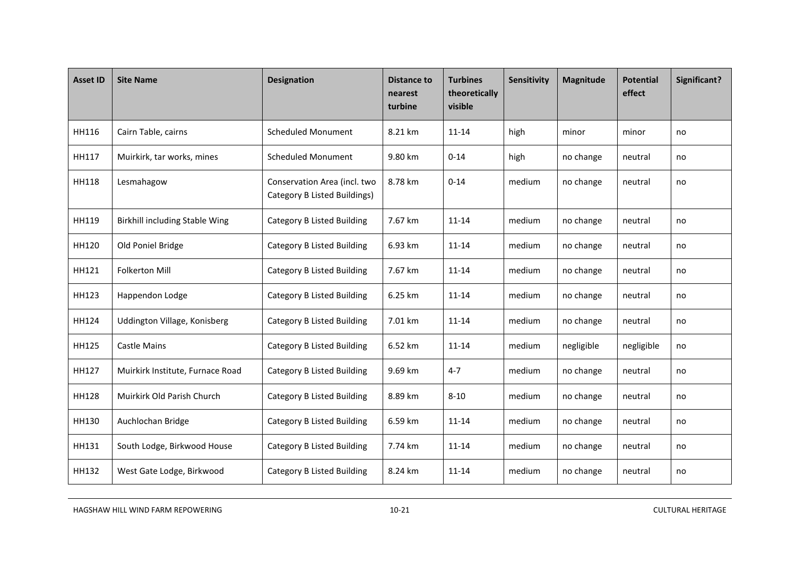| <b>Asset ID</b> | <b>Site Name</b>                 | <b>Designation</b>                                           | <b>Distance to</b><br>nearest<br>turbine | <b>Turbines</b><br>theoretically<br>visible | <b>Sensitivity</b> | Magnitude  | <b>Potential</b><br>effect | Significant? |
|-----------------|----------------------------------|--------------------------------------------------------------|------------------------------------------|---------------------------------------------|--------------------|------------|----------------------------|--------------|
| <b>HH116</b>    | Cairn Table, cairns              | <b>Scheduled Monument</b>                                    | 8.21 km                                  | $11 - 14$                                   | high               | minor      | minor                      | no           |
| HH117           | Muirkirk, tar works, mines       | <b>Scheduled Monument</b>                                    | 9.80 km                                  | $0 - 14$                                    | high               | no change  | neutral                    | no           |
| <b>HH118</b>    | Lesmahagow                       | Conservation Area (incl. two<br>Category B Listed Buildings) | 8.78 km                                  | $0 - 14$                                    | medium             | no change  | neutral                    | no           |
| HH119           | Birkhill including Stable Wing   | Category B Listed Building                                   | 7.67 km                                  | $11 - 14$                                   | medium             | no change  | neutral                    | no           |
| HH120           | Old Poniel Bridge                | Category B Listed Building                                   | 6.93 km                                  | $11 - 14$                                   | medium             | no change  | neutral                    | no           |
| HH121           | <b>Folkerton Mill</b>            | Category B Listed Building                                   | 7.67 km                                  | $11 - 14$                                   | medium             | no change  | neutral                    | no           |
| HH123           | Happendon Lodge                  | Category B Listed Building                                   | 6.25 km                                  | $11 - 14$                                   | medium             | no change  | neutral                    | no           |
| HH124           | Uddington Village, Konisberg     | Category B Listed Building                                   | 7.01 km                                  | $11 - 14$                                   | medium             | no change  | neutral                    | no           |
| <b>HH125</b>    | <b>Castle Mains</b>              | Category B Listed Building                                   | 6.52 km                                  | $11 - 14$                                   | medium             | negligible | negligible                 | no           |
| HH127           | Muirkirk Institute, Furnace Road | Category B Listed Building                                   | 9.69 km                                  | $4 - 7$                                     | medium             | no change  | neutral                    | no           |
| <b>HH128</b>    | Muirkirk Old Parish Church       | Category B Listed Building                                   | 8.89 km                                  | $8 - 10$                                    | medium             | no change  | neutral                    | no           |
| HH130           | Auchlochan Bridge                | Category B Listed Building                                   | 6.59 km                                  | $11 - 14$                                   | medium             | no change  | neutral                    | no           |
| <b>HH131</b>    | South Lodge, Birkwood House      | Category B Listed Building                                   | 7.74 km                                  | $11 - 14$                                   | medium             | no change  | neutral                    | no           |
| <b>HH132</b>    | West Gate Lodge, Birkwood        | Category B Listed Building                                   | 8.24 km                                  | $11 - 14$                                   | medium             | no change  | neutral                    | no           |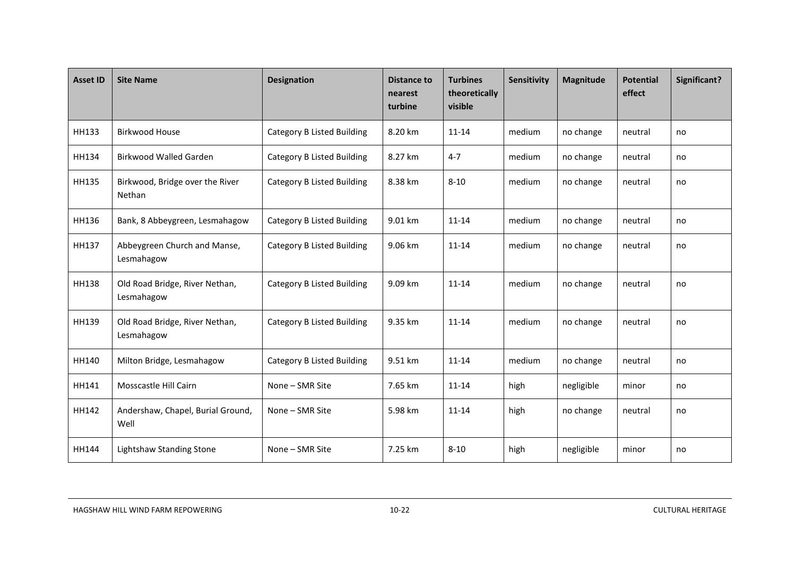| <b>Asset ID</b> | <b>Site Name</b>                             | <b>Designation</b>         | <b>Distance to</b><br>nearest<br>turbine | <b>Turbines</b><br>theoretically<br>visible | <b>Sensitivity</b> | Magnitude  | <b>Potential</b><br>effect | Significant? |
|-----------------|----------------------------------------------|----------------------------|------------------------------------------|---------------------------------------------|--------------------|------------|----------------------------|--------------|
| <b>HH133</b>    | <b>Birkwood House</b>                        | Category B Listed Building | 8.20 km                                  | $11 - 14$                                   | medium             | no change  | neutral                    | no           |
| <b>HH134</b>    | <b>Birkwood Walled Garden</b>                | Category B Listed Building | 8.27 km                                  | $4 - 7$                                     | medium             | no change  | neutral                    | no           |
| <b>HH135</b>    | Birkwood, Bridge over the River<br>Nethan    | Category B Listed Building | 8.38 km                                  | $8 - 10$                                    | medium             | no change  | neutral                    | no           |
| HH136           | Bank, 8 Abbeygreen, Lesmahagow               | Category B Listed Building | 9.01 km                                  | $11 - 14$                                   | medium             | no change  | neutral                    | no           |
| <b>HH137</b>    | Abbeygreen Church and Manse,<br>Lesmahagow   | Category B Listed Building | 9.06 km                                  | $11 - 14$                                   | medium             | no change  | neutral                    | no           |
| <b>HH138</b>    | Old Road Bridge, River Nethan,<br>Lesmahagow | Category B Listed Building | 9.09 km                                  | $11 - 14$                                   | medium             | no change  | neutral                    | no           |
| HH139           | Old Road Bridge, River Nethan,<br>Lesmahagow | Category B Listed Building | 9.35 km                                  | $11 - 14$                                   | medium             | no change  | neutral                    | no           |
| HH140           | Milton Bridge, Lesmahagow                    | Category B Listed Building | 9.51 km                                  | $11 - 14$                                   | medium             | no change  | neutral                    | no           |
| HH141           | Mosscastle Hill Cairn                        | None - SMR Site            | 7.65 km                                  | $11 - 14$                                   | high               | negligible | minor                      | no           |
| <b>HH142</b>    | Andershaw, Chapel, Burial Ground,<br>Well    | None - SMR Site            | 5.98 km                                  | $11 - 14$                                   | high               | no change  | neutral                    | no           |
| <b>HH144</b>    | Lightshaw Standing Stone                     | None - SMR Site            | 7.25 km                                  | $8 - 10$                                    | high               | negligible | minor                      | no           |

#### HAGSHAW HILL WIND FARM REPOWERING 10-22 CULTURAL HERITAGE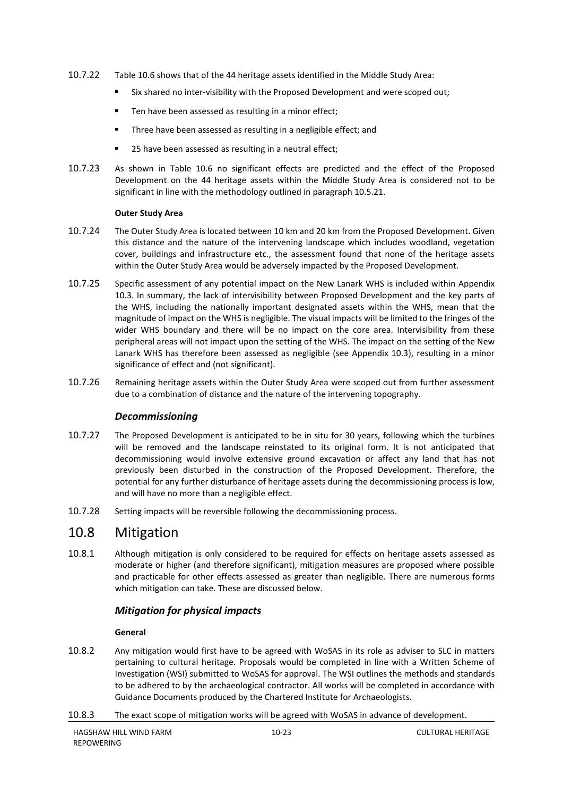- 10.7.22 Table 10.6 shows that of the 44 heritage assets identified in the Middle Study Area:
	- Six shared no inter-visibility with the Proposed Development and were scoped out;
	- Ten have been assessed as resulting in a minor effect;
	- **Three have been assessed as resulting in a negligible effect; and**
	- 25 have been assessed as resulting in a neutral effect;
- 10.7.23 As shown in Table 10.6 no significant effects are predicted and the effect of the Proposed Development on the 44 heritage assets within the Middle Study Area is considered not to be significant in line with the methodology outlined in paragraph [10.5.21.](#page-9-1)

#### **Outer Study Area**

- 10.7.24 The Outer Study Area is located between 10 km and 20 km from the Proposed Development. Given this distance and the nature of the intervening landscape which includes woodland, vegetation cover, buildings and infrastructure etc., the assessment found that none of the heritage assets within the Outer Study Area would be adversely impacted by the Proposed Development.
- 10.7.25 Specific assessment of any potential impact on the New Lanark WHS is included within Appendix 10.3. In summary, the lack of intervisibility between Proposed Development and the key parts of the WHS, including the nationally important designated assets within the WHS, mean that the magnitude of impact on the WHS is negligible. The visual impacts will be limited to the fringes of the wider WHS boundary and there will be no impact on the core area. Intervisibility from these peripheral areas will not impact upon the setting of the WHS. The impact on the setting of the New Lanark WHS has therefore been assessed as negligible (see Appendix 10.3), resulting in a minor significance of effect and (not significant).
- 10.7.26 Remaining heritage assets within the Outer Study Area were scoped out from further assessment due to a combination of distance and the nature of the intervening topography.

# *Decommissioning*

- 10.7.27 The Proposed Development is anticipated to be in situ for 30 years, following which the turbines will be removed and the landscape reinstated to its original form. It is not anticipated that decommissioning would involve extensive ground excavation or affect any land that has not previously been disturbed in the construction of the Proposed Development. Therefore, the potential for any further disturbance of heritage assets during the decommissioning process is low, and will have no more than a negligible effect.
- 10.7.28 Setting impacts will be reversible following the decommissioning process.

# <span id="page-24-0"></span>10.8 Mitigation

10.8.1 Although mitigation is only considered to be required for effects on heritage assets assessed as moderate or higher (and therefore significant), mitigation measures are proposed where possible and practicable for other effects assessed as greater than negligible. There are numerous forms which mitigation can take. These are discussed below.

# *Mitigation for physical impacts*

#### **General**

- 10.8.2 Any mitigation would first have to be agreed with WoSAS in its role as adviser to SLC in matters pertaining to cultural heritage. Proposals would be completed in line with a Written Scheme of Investigation (WSI) submitted to WoSAS for approval. The WSI outlines the methods and standards to be adhered to by the archaeological contractor. All works will be completed in accordance with Guidance Documents produced by the Chartered Institute for Archaeologists.
- 10.8.3 The exact scope of mitigation works will be agreed with WoSAS in advance of development.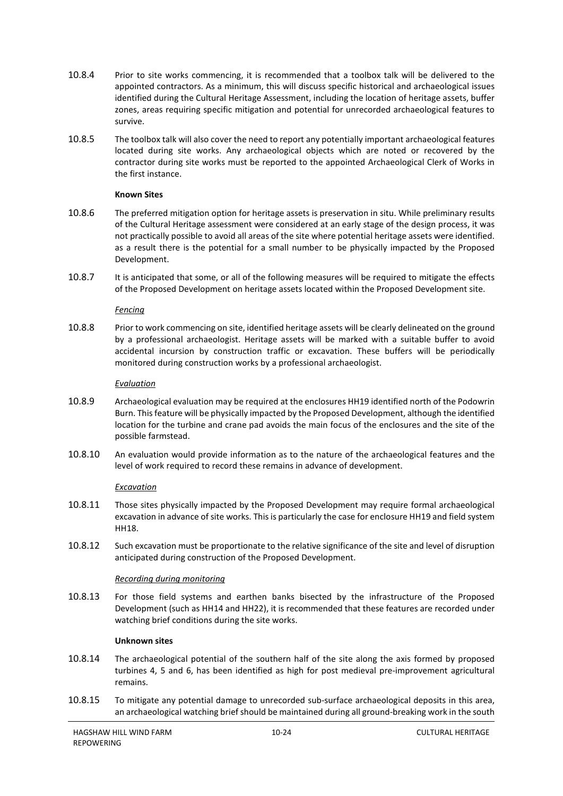- 10.8.4 Prior to site works commencing, it is recommended that a toolbox talk will be delivered to the appointed contractors. As a minimum, this will discuss specific historical and archaeological issues identified during the Cultural Heritage Assessment, including the location of heritage assets, buffer zones, areas requiring specific mitigation and potential for unrecorded archaeological features to survive.
- 10.8.5 The toolbox talk will also cover the need to report any potentially important archaeological features located during site works. Any archaeological objects which are noted or recovered by the contractor during site works must be reported to the appointed Archaeological Clerk of Works in the first instance.

#### **Known Sites**

- 10.8.6 The preferred mitigation option for heritage assets is preservation in situ. While preliminary results of the Cultural Heritage assessment were considered at an early stage of the design process, it was not practically possible to avoid all areas of the site where potential heritage assets were identified. as a result there is the potential for a small number to be physically impacted by the Proposed Development.
- 10.8.7 It is anticipated that some, or all of the following measures will be required to mitigate the effects of the Proposed Development on heritage assets located within the Proposed Development site.

#### *Fencing*

10.8.8 Prior to work commencing on site, identified heritage assets will be clearly delineated on the ground by a professional archaeologist. Heritage assets will be marked with a suitable buffer to avoid accidental incursion by construction traffic or excavation. These buffers will be periodically monitored during construction works by a professional archaeologist.

#### *Evaluation*

- 10.8.9 Archaeological evaluation may be required at the enclosures HH19 identified north of the Podowrin Burn. This feature will be physically impacted by the Proposed Development, although the identified location for the turbine and crane pad avoids the main focus of the enclosures and the site of the possible farmstead.
- 10.8.10 An evaluation would provide information as to the nature of the archaeological features and the level of work required to record these remains in advance of development.

#### *Excavation*

- 10.8.11 Those sites physically impacted by the Proposed Development may require formal archaeological excavation in advance of site works. This is particularly the case for enclosure HH19 and field system HH18.
- 10.8.12 Such excavation must be proportionate to the relative significance of the site and level of disruption anticipated during construction of the Proposed Development.

#### *Recording during monitoring*

10.8.13 For those field systems and earthen banks bisected by the infrastructure of the Proposed Development (such as HH14 and HH22), it is recommended that these features are recorded under watching brief conditions during the site works.

#### **Unknown sites**

- 10.8.14 The archaeological potential of the southern half of the site along the axis formed by proposed turbines 4, 5 and 6, has been identified as high for post medieval pre-improvement agricultural remains.
- 10.8.15 To mitigate any potential damage to unrecorded sub-surface archaeological deposits in this area, an archaeological watching brief should be maintained during all ground-breaking work in the south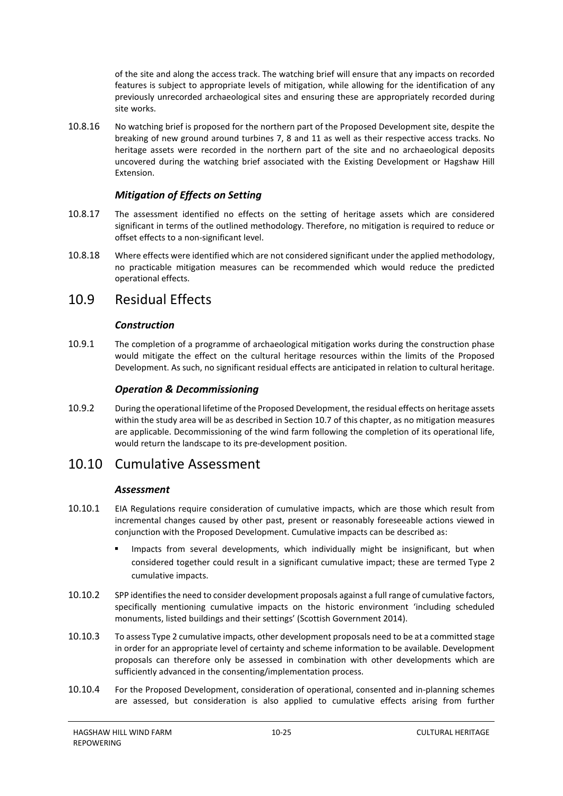of the site and along the access track. The watching brief will ensure that any impacts on recorded features is subject to appropriate levels of mitigation, while allowing for the identification of any previously unrecorded archaeological sites and ensuring these are appropriately recorded during site works.

10.8.16 No watching brief is proposed for the northern part of the Proposed Development site, despite the breaking of new ground around turbines 7, 8 and 11 as well as their respective access tracks. No heritage assets were recorded in the northern part of the site and no archaeological deposits uncovered during the watching brief associated with the Existing Development or Hagshaw Hill Extension.

# *Mitigation of Effects on Setting*

- 10.8.17 The assessment identified no effects on the setting of heritage assets which are considered significant in terms of the outlined methodology. Therefore, no mitigation is required to reduce or offset effects to a non-significant level.
- 10.8.18 Where effects were identified which are not considered significant under the applied methodology, no practicable mitigation measures can be recommended which would reduce the predicted operational effects.

# <span id="page-26-0"></span>10.9 Residual Effects

# *Construction*

10.9.1 The completion of a programme of archaeological mitigation works during the construction phase would mitigate the effect on the cultural heritage resources within the limits of the Proposed Development. As such, no significant residual effects are anticipated in relation to cultural heritage.

# *Operation & Decommissioning*

10.9.2 During the operational lifetime of the Proposed Development, the residual effects on heritage assets within the study area will be as described in Section 10.7 of this chapter, as no mitigation measures are applicable. Decommissioning of the wind farm following the completion of its operational life, would return the landscape to its pre-development position.

# <span id="page-26-1"></span>10.10 Cumulative Assessment

# *Assessment*

- 10.10.1 EIA Regulations require consideration of cumulative impacts, which are those which result from incremental changes caused by other past, present or reasonably foreseeable actions viewed in conjunction with the Proposed Development. Cumulative impacts can be described as:
	- **IMPACT IMPACTS from several developments, which individually might be insignificant, but when** considered together could result in a significant cumulative impact; these are termed Type 2 cumulative impacts.
- 10.10.2 SPP identifies the need to consider development proposals against a full range of cumulative factors, specifically mentioning cumulative impacts on the historic environment 'including scheduled monuments, listed buildings and their settings' (Scottish Government 2014).
- 10.10.3 To assess Type 2 cumulative impacts, other development proposals need to be at a committed stage in order for an appropriate level of certainty and scheme information to be available. Development proposals can therefore only be assessed in combination with other developments which are sufficiently advanced in the consenting/implementation process.
- 10.10.4 For the Proposed Development, consideration of operational, consented and in-planning schemes are assessed, but consideration is also applied to cumulative effects arising from further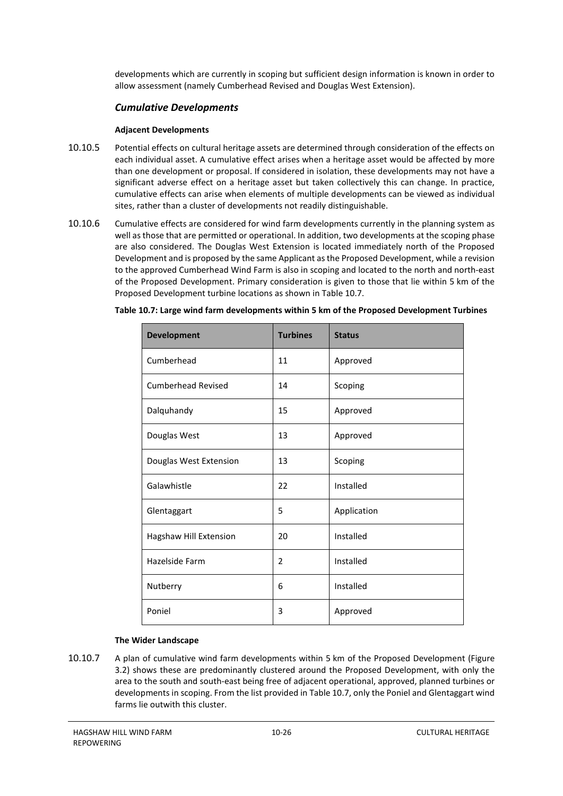developments which are currently in scoping but sufficient design information is known in order to allow assessment (namely Cumberhead Revised and Douglas West Extension).

### *Cumulative Developments*

#### **Adjacent Developments**

- 10.10.5 Potential effects on cultural heritage assets are determined through consideration of the effects on each individual asset. A cumulative effect arises when a heritage asset would be affected by more than one development or proposal. If considered in isolation, these developments may not have a significant adverse effect on a heritage asset but taken collectively this can change. In practice, cumulative effects can arise when elements of multiple developments can be viewed as individual sites, rather than a cluster of developments not readily distinguishable.
- 10.10.6 Cumulative effects are considered for wind farm developments currently in the planning system as well as those that are permitted or operational. In addition, two developments at the scoping phase are also considered. The Douglas West Extension is located immediately north of the Proposed Development and is proposed by the same Applicant as the Proposed Development, while a revision to the approved Cumberhead Wind Farm is also in scoping and located to the north and north-east of the Proposed Development. Primary consideration is given to those that lie within 5 km of the Proposed Development turbine locations as shown in Table 10.7.

| <b>Development</b>        | <b>Turbines</b> | <b>Status</b> |
|---------------------------|-----------------|---------------|
| Cumberhead                | 11              | Approved      |
| <b>Cumberhead Revised</b> | 14              | Scoping       |
| Dalquhandy                | 15              | Approved      |
| Douglas West              | 13              | Approved      |
| Douglas West Extension    | 13              | Scoping       |
| Galawhistle               | 22              | Installed     |
| Glentaggart               | 5               | Application   |
| Hagshaw Hill Extension    | 20              | Installed     |
| Hazelside Farm            | $\overline{2}$  | Installed     |
| Nutberry                  | 6               | Installed     |
| Poniel                    | 3               | Approved      |

**Table 10.7: Large wind farm developments within 5 km of the Proposed Development Turbines**

#### **The Wider Landscape**

10.10.7 A plan of cumulative wind farm developments within 5 km of the Proposed Development (Figure 3.2) shows these are predominantly clustered around the Proposed Development, with only the area to the south and south-east being free of adjacent operational, approved, planned turbines or developments in scoping. From the list provided in Table 10.7, only the Poniel and Glentaggart wind farms lie outwith this cluster.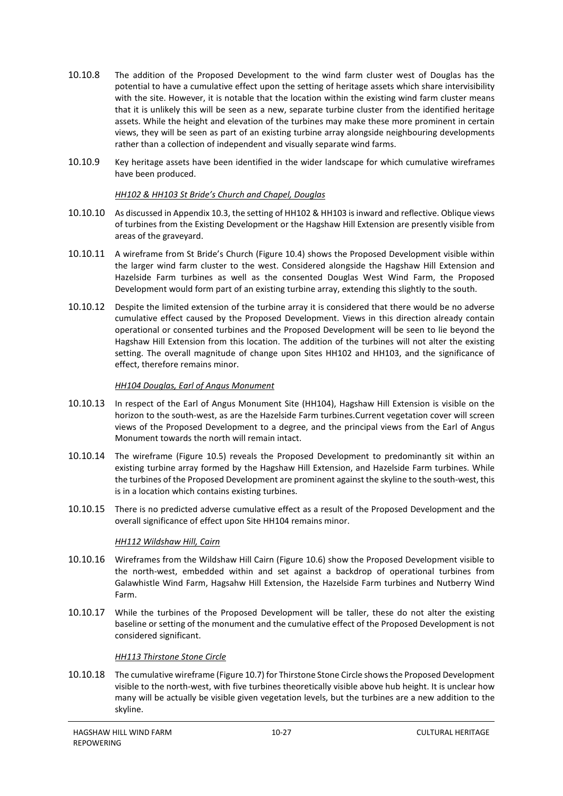- 10.10.8 The addition of the Proposed Development to the wind farm cluster west of Douglas has the potential to have a cumulative effect upon the setting of heritage assets which share intervisibility with the site. However, it is notable that the location within the existing wind farm cluster means that it is unlikely this will be seen as a new, separate turbine cluster from the identified heritage assets. While the height and elevation of the turbines may make these more prominent in certain views, they will be seen as part of an existing turbine array alongside neighbouring developments rather than a collection of independent and visually separate wind farms.
- 10.10.9 Key heritage assets have been identified in the wider landscape for which cumulative wireframes have been produced.

#### *HH102 & HH103 St Bride's Church and Chapel, Douglas*

- 10.10.10 As discussed in Appendix 10.3, the setting of HH102 & HH103 is inward and reflective. Oblique views of turbines from the Existing Development or the Hagshaw Hill Extension are presently visible from areas of the graveyard.
- 10.10.11 A wireframe from St Bride's Church (Figure 10.4) shows the Proposed Development visible within the larger wind farm cluster to the west. Considered alongside the Hagshaw Hill Extension and Hazelside Farm turbines as well as the consented Douglas West Wind Farm, the Proposed Development would form part of an existing turbine array, extending this slightly to the south.
- 10.10.12 Despite the limited extension of the turbine array it is considered that there would be no adverse cumulative effect caused by the Proposed Development. Views in this direction already contain operational or consented turbines and the Proposed Development will be seen to lie beyond the Hagshaw Hill Extension from this location. The addition of the turbines will not alter the existing setting. The overall magnitude of change upon Sites HH102 and HH103, and the significance of effect, therefore remains minor.

#### *HH104 Douglas, Earl of Angus Monument*

- 10.10.13 In respect of the Earl of Angus Monument Site (HH104), Hagshaw Hill Extension is visible on the horizon to the south-west, as are the Hazelside Farm turbines.Current vegetation cover will screen views of the Proposed Development to a degree, and the principal views from the Earl of Angus Monument towards the north will remain intact.
- 10.10.14 The wireframe (Figure 10.5) reveals the Proposed Development to predominantly sit within an existing turbine array formed by the Hagshaw Hill Extension, and Hazelside Farm turbines. While the turbines of the Proposed Development are prominent against the skyline to the south-west, this is in a location which contains existing turbines.
- 10.10.15 There is no predicted adverse cumulative effect as a result of the Proposed Development and the overall significance of effect upon Site HH104 remains minor.

#### *HH112 Wildshaw Hill, Cairn*

- 10.10.16 Wireframes from the Wildshaw Hill Cairn (Figure 10.6) show the Proposed Development visible to the north-west, embedded within and set against a backdrop of operational turbines from Galawhistle Wind Farm, Hagsahw Hill Extension, the Hazelside Farm turbines and Nutberry Wind Farm.
- 10.10.17 While the turbines of the Proposed Development will be taller, these do not alter the existing baseline or setting of the monument and the cumulative effect of the Proposed Development is not considered significant.

#### *HH113 Thirstone Stone Circle*

10.10.18 The cumulative wireframe (Figure 10.7) for Thirstone Stone Circle shows the Proposed Development visible to the north-west, with five turbines theoretically visible above hub height. It is unclear how many will be actually be visible given vegetation levels, but the turbines are a new addition to the skyline.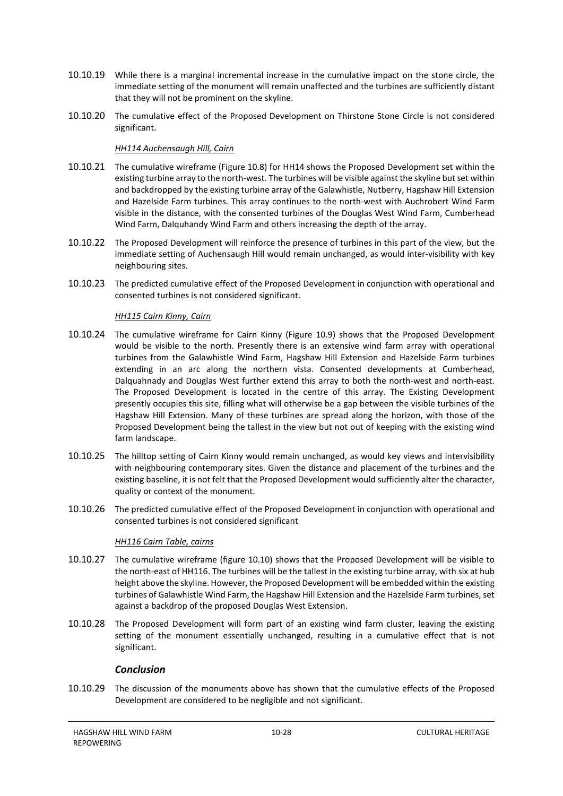- 10.10.19 While there is a marginal incremental increase in the cumulative impact on the stone circle, the immediate setting of the monument will remain unaffected and the turbines are sufficiently distant that they will not be prominent on the skyline.
- 10.10.20 The cumulative effect of the Proposed Development on Thirstone Stone Circle is not considered significant.

#### *HH114 Auchensaugh Hill, Cairn*

- 10.10.21 The cumulative wireframe (Figure 10.8) for HH14 shows the Proposed Development set within the existing turbine array to the north-west. The turbines will be visible against the skyline but set within and backdropped by the existing turbine array of the Galawhistle, Nutberry, Hagshaw Hill Extension and Hazelside Farm turbines. This array continues to the north-west with Auchrobert Wind Farm visible in the distance, with the consented turbines of the Douglas West Wind Farm, Cumberhead Wind Farm, Dalquhandy Wind Farm and others increasing the depth of the array.
- 10.10.22 The Proposed Development will reinforce the presence of turbines in this part of the view, but the immediate setting of Auchensaugh Hill would remain unchanged, as would inter-visibility with key neighbouring sites.
- 10.10.23 The predicted cumulative effect of the Proposed Development in conjunction with operational and consented turbines is not considered significant.

#### *HH115 Cairn Kinny, Cairn*

- 10.10.24 The cumulative wireframe for Cairn Kinny (Figure 10.9) shows that the Proposed Development would be visible to the north. Presently there is an extensive wind farm array with operational turbines from the Galawhistle Wind Farm, Hagshaw Hill Extension and Hazelside Farm turbines extending in an arc along the northern vista. Consented developments at Cumberhead, Dalquahnady and Douglas West further extend this array to both the north-west and north-east. The Proposed Development is located in the centre of this array. The Existing Development presently occupies this site, filling what will otherwise be a gap between the visible turbines of the Hagshaw Hill Extension. Many of these turbines are spread along the horizon, with those of the Proposed Development being the tallest in the view but not out of keeping with the existing wind farm landscape.
- 10.10.25 The hilltop setting of Cairn Kinny would remain unchanged, as would key views and intervisibility with neighbouring contemporary sites. Given the distance and placement of the turbines and the existing baseline, it is not felt that the Proposed Development would sufficiently alter the character, quality or context of the monument.
- 10.10.26 The predicted cumulative effect of the Proposed Development in conjunction with operational and consented turbines is not considered significant

#### *HH116 Cairn Table, cairns*

- 10.10.27 The cumulative wireframe (figure 10.10) shows that the Proposed Development will be visible to the north-east of HH116. The turbines will be the tallest in the existing turbine array, with six at hub height above the skyline. However, the Proposed Development will be embedded within the existing turbines of Galawhistle Wind Farm, the Hagshaw Hill Extension and the Hazelside Farm turbines, set against a backdrop of the proposed Douglas West Extension.
- 10.10.28 The Proposed Development will form part of an existing wind farm cluster, leaving the existing setting of the monument essentially unchanged, resulting in a cumulative effect that is not significant.

#### *Conclusion*

10.10.29 The discussion of the monuments above has shown that the cumulative effects of the Proposed Development are considered to be negligible and not significant.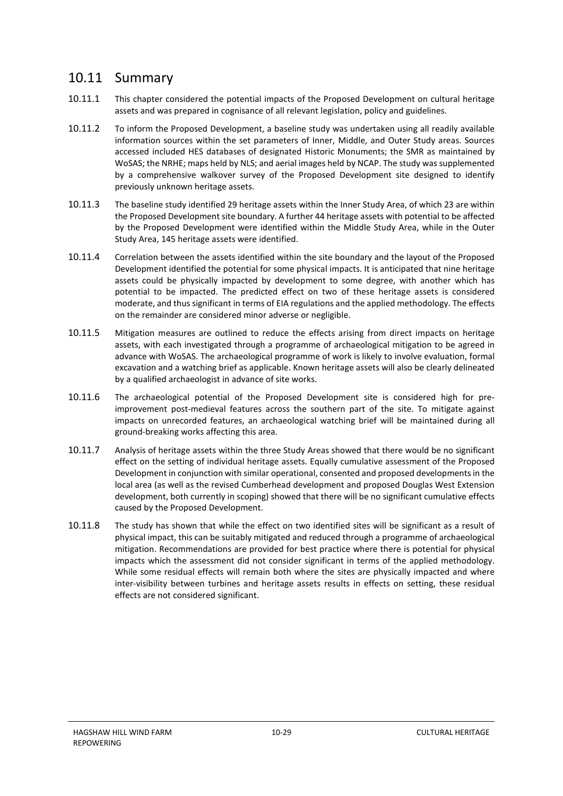# <span id="page-30-0"></span>10.11 Summary

- 10.11.1 This chapter considered the potential impacts of the Proposed Development on cultural heritage assets and was prepared in cognisance of all relevant legislation, policy and guidelines.
- 10.11.2 To inform the Proposed Development, a baseline study was undertaken using all readily available information sources within the set parameters of Inner, Middle, and Outer Study areas. Sources accessed included HES databases of designated Historic Monuments; the SMR as maintained by WoSAS; the NRHE; maps held by NLS; and aerial images held by NCAP. The study was supplemented by a comprehensive walkover survey of the Proposed Development site designed to identify previously unknown heritage assets.
- 10.11.3 The baseline study identified 29 heritage assets within the Inner Study Area, of which 23 are within the Proposed Development site boundary. A further 44 heritage assets with potential to be affected by the Proposed Development were identified within the Middle Study Area, while in the Outer Study Area, 145 heritage assets were identified.
- 10.11.4 Correlation between the assets identified within the site boundary and the layout of the Proposed Development identified the potential for some physical impacts. It is anticipated that nine heritage assets could be physically impacted by development to some degree, with another which has potential to be impacted. The predicted effect on two of these heritage assets is considered moderate, and thus significant in terms of EIA regulations and the applied methodology. The effects on the remainder are considered minor adverse or negligible.
- 10.11.5 Mitigation measures are outlined to reduce the effects arising from direct impacts on heritage assets, with each investigated through a programme of archaeological mitigation to be agreed in advance with WoSAS. The archaeological programme of work is likely to involve evaluation, formal excavation and a watching brief as applicable. Known heritage assets will also be clearly delineated by a qualified archaeologist in advance of site works.
- 10.11.6 The archaeological potential of the Proposed Development site is considered high for preimprovement post-medieval features across the southern part of the site. To mitigate against impacts on unrecorded features, an archaeological watching brief will be maintained during all ground-breaking works affecting this area.
- 10.11.7 Analysis of heritage assets within the three Study Areas showed that there would be no significant effect on the setting of individual heritage assets. Equally cumulative assessment of the Proposed Development in conjunction with similar operational, consented and proposed developments in the local area (as well as the revised Cumberhead development and proposed Douglas West Extension development, both currently in scoping) showed that there will be no significant cumulative effects caused by the Proposed Development.
- 10.11.8 The study has shown that while the effect on two identified sites will be significant as a result of physical impact, this can be suitably mitigated and reduced through a programme of archaeological mitigation. Recommendations are provided for best practice where there is potential for physical impacts which the assessment did not consider significant in terms of the applied methodology. While some residual effects will remain both where the sites are physically impacted and where inter-visibility between turbines and heritage assets results in effects on setting, these residual effects are not considered significant.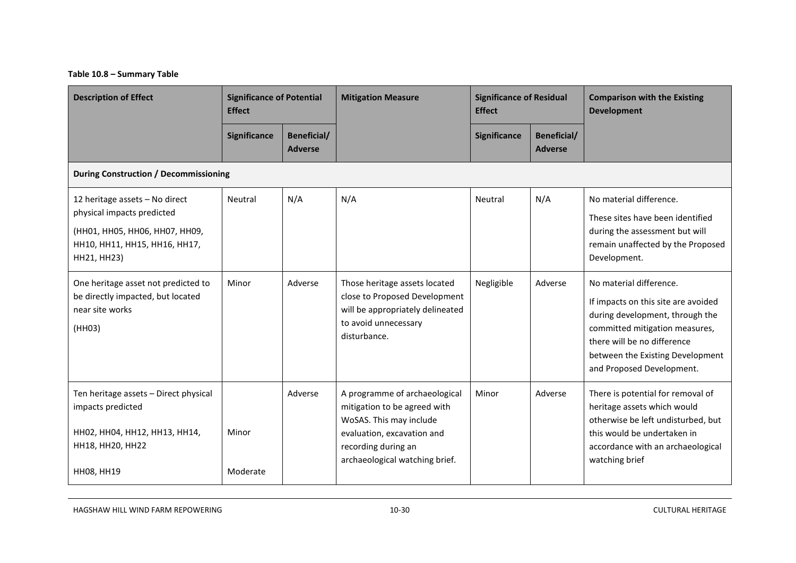#### **Table 10.8 – Summary Table**

| <b>Description of Effect</b><br><b>Significance of Potential</b><br><b>Effect</b>                                                              |                     | <b>Mitigation Measure</b>     | <b>Significance of Residual</b><br><b>Effect</b>                                                                                                                                |              | <b>Comparison with the Existing</b><br><b>Development</b> |                                                                                                                                                                                                                                     |
|------------------------------------------------------------------------------------------------------------------------------------------------|---------------------|-------------------------------|---------------------------------------------------------------------------------------------------------------------------------------------------------------------------------|--------------|-----------------------------------------------------------|-------------------------------------------------------------------------------------------------------------------------------------------------------------------------------------------------------------------------------------|
|                                                                                                                                                | <b>Significance</b> | Beneficial/<br><b>Adverse</b> |                                                                                                                                                                                 | Significance | <b>Beneficial/</b><br><b>Adverse</b>                      |                                                                                                                                                                                                                                     |
| <b>During Construction / Decommissioning</b>                                                                                                   |                     |                               |                                                                                                                                                                                 |              |                                                           |                                                                                                                                                                                                                                     |
| 12 heritage assets - No direct<br>physical impacts predicted<br>(ННО1, ННО5, ННО6, ННО7, ННО9,<br>HH10, HH11, HH15, HH16, HH17,<br>HH21, HH23) | Neutral             | N/A                           | N/A                                                                                                                                                                             | Neutral      | N/A                                                       | No material difference.<br>These sites have been identified<br>during the assessment but will<br>remain unaffected by the Proposed<br>Development.                                                                                  |
| One heritage asset not predicted to<br>be directly impacted, but located<br>near site works<br>(HH03)                                          | Minor               | Adverse                       | Those heritage assets located<br>close to Proposed Development<br>will be appropriately delineated<br>to avoid unnecessary<br>disturbance.                                      | Negligible   | Adverse                                                   | No material difference.<br>If impacts on this site are avoided<br>during development, through the<br>committed mitigation measures,<br>there will be no difference<br>between the Existing Development<br>and Proposed Development. |
| Ten heritage assets - Direct physical<br>impacts predicted<br>HH02, HH04, HH12, HH13, HH14,<br>HH18, HH20, HH22<br>HH08, HH19                  | Minor<br>Moderate   | Adverse                       | A programme of archaeological<br>mitigation to be agreed with<br>WoSAS. This may include<br>evaluation, excavation and<br>recording during an<br>archaeological watching brief. | Minor        | Adverse                                                   | There is potential for removal of<br>heritage assets which would<br>otherwise be left undisturbed, but<br>this would be undertaken in<br>accordance with an archaeological<br>watching brief                                        |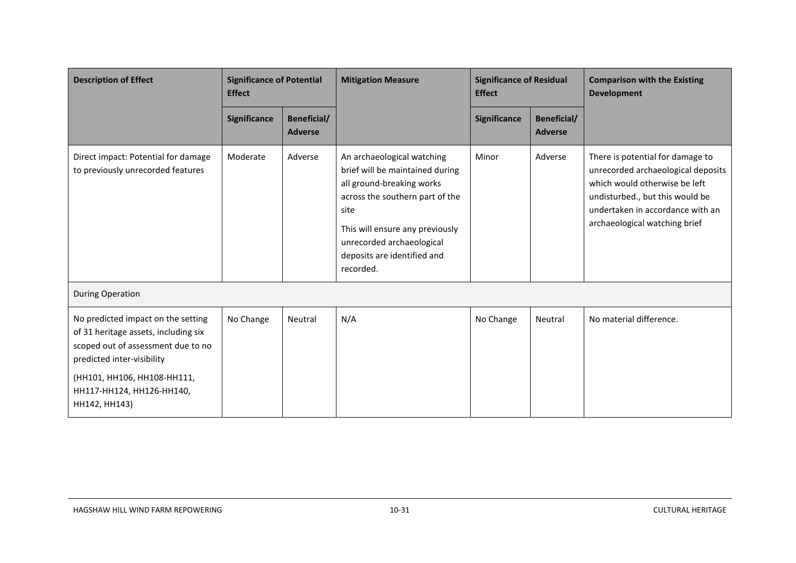| <b>Description of Effect</b>                                                                                                                                                                                                | <b>Significance of Potential</b><br><b>Effect</b> |                                      | <b>Mitigation Measure</b>                                                                                                                                                                                                                         | <b>Significance of Residual</b><br><b>Effect</b> |                                      | <b>Comparison with the Existing</b><br><b>Development</b>                                                                                                                                                       |
|-----------------------------------------------------------------------------------------------------------------------------------------------------------------------------------------------------------------------------|---------------------------------------------------|--------------------------------------|---------------------------------------------------------------------------------------------------------------------------------------------------------------------------------------------------------------------------------------------------|--------------------------------------------------|--------------------------------------|-----------------------------------------------------------------------------------------------------------------------------------------------------------------------------------------------------------------|
|                                                                                                                                                                                                                             | <b>Significance</b>                               | <b>Beneficial/</b><br><b>Adverse</b> |                                                                                                                                                                                                                                                   | Significance                                     | <b>Beneficial/</b><br><b>Adverse</b> |                                                                                                                                                                                                                 |
| Direct impact: Potential for damage<br>to previously unrecorded features                                                                                                                                                    | Moderate                                          | Adverse                              | An archaeological watching<br>brief will be maintained during<br>all ground-breaking works<br>across the southern part of the<br>site<br>This will ensure any previously<br>unrecorded archaeological<br>deposits are identified and<br>recorded. | Minor                                            | Adverse                              | There is potential for damage to<br>unrecorded archaeological deposits<br>which would otherwise be left<br>undisturbed., but this would be<br>undertaken in accordance with an<br>archaeological watching brief |
| <b>During Operation</b>                                                                                                                                                                                                     |                                                   |                                      |                                                                                                                                                                                                                                                   |                                                  |                                      |                                                                                                                                                                                                                 |
| No predicted impact on the setting<br>of 31 heritage assets, including six<br>scoped out of assessment due to no<br>predicted inter-visibility<br>(HH101, HH106, HH108-HH111,<br>HH117-HH124, HH126-HH140,<br>HH142, HH143) | No Change                                         | Neutral                              | N/A                                                                                                                                                                                                                                               | No Change                                        | Neutral                              | No material difference.                                                                                                                                                                                         |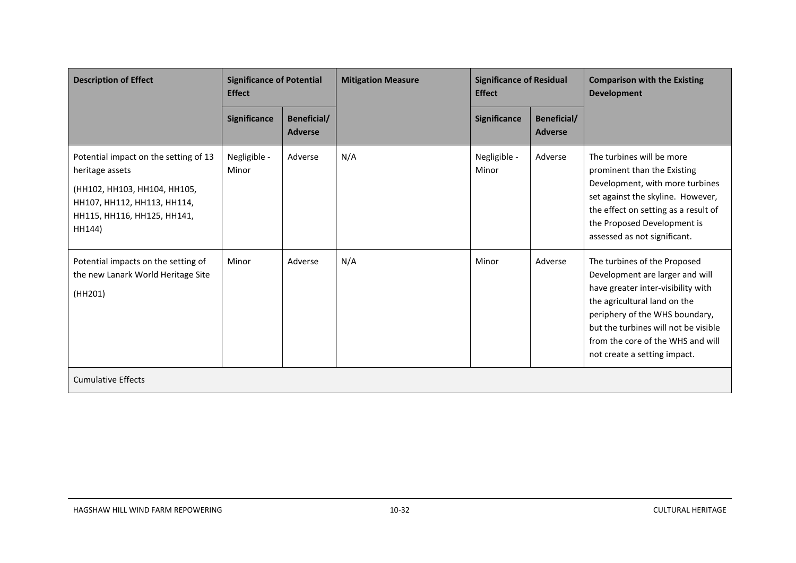| <b>Description of Effect</b>                                                                                                                                     | <b>Significance of Potential</b><br><b>Effect</b> |                               | <b>Mitigation Measure</b> | <b>Significance of Residual</b><br><b>Effect</b> |                                      | <b>Comparison with the Existing</b><br><b>Development</b>                                                                                                                                                                                                                            |
|------------------------------------------------------------------------------------------------------------------------------------------------------------------|---------------------------------------------------|-------------------------------|---------------------------|--------------------------------------------------|--------------------------------------|--------------------------------------------------------------------------------------------------------------------------------------------------------------------------------------------------------------------------------------------------------------------------------------|
|                                                                                                                                                                  | Significance                                      | Beneficial/<br><b>Adverse</b> |                           | Significance                                     | <b>Beneficial/</b><br><b>Adverse</b> |                                                                                                                                                                                                                                                                                      |
| Potential impact on the setting of 13<br>heritage assets<br>(HH102, HH103, HH104, HH105,<br>HH107, HH112, HH113, HH114,<br>HH115, HH116, HH125, HH141,<br>HH144) | Negligible -<br>Minor                             | Adverse                       | N/A                       | Negligible -<br>Minor                            | Adverse                              | The turbines will be more<br>prominent than the Existing<br>Development, with more turbines<br>set against the skyline. However,<br>the effect on setting as a result of<br>the Proposed Development is<br>assessed as not significant.                                              |
| Potential impacts on the setting of<br>the new Lanark World Heritage Site<br>(HH201)                                                                             | Minor                                             | Adverse                       | N/A                       | Minor                                            | Adverse                              | The turbines of the Proposed<br>Development are larger and will<br>have greater inter-visibility with<br>the agricultural land on the<br>periphery of the WHS boundary,<br>but the turbines will not be visible<br>from the core of the WHS and will<br>not create a setting impact. |
| <b>Cumulative Effects</b>                                                                                                                                        |                                                   |                               |                           |                                                  |                                      |                                                                                                                                                                                                                                                                                      |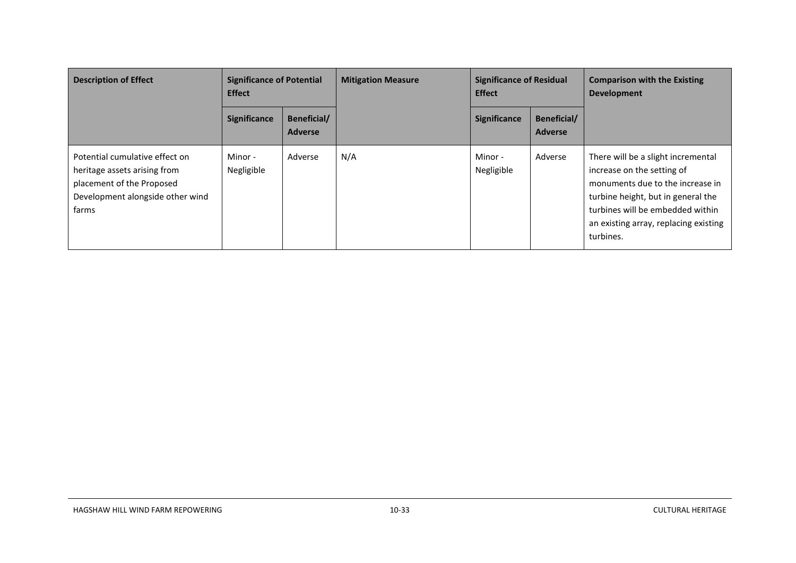| <b>Description of Effect</b><br><b>Significance of Potential</b><br><b>Effect</b>                                                        |                       | <b>Mitigation Measure</b>     | <b>Significance of Residual</b><br><b>Effect</b> |                       | <b>Comparison with the Existing</b><br><b>Development</b> |                                                                                                                                                                                                                                      |
|------------------------------------------------------------------------------------------------------------------------------------------|-----------------------|-------------------------------|--------------------------------------------------|-----------------------|-----------------------------------------------------------|--------------------------------------------------------------------------------------------------------------------------------------------------------------------------------------------------------------------------------------|
|                                                                                                                                          | Significance          | Beneficial/<br><b>Adverse</b> |                                                  | <b>Significance</b>   | Beneficial/<br><b>Adverse</b>                             |                                                                                                                                                                                                                                      |
| Potential cumulative effect on<br>heritage assets arising from<br>placement of the Proposed<br>Development alongside other wind<br>farms | Minor -<br>Negligible | Adverse                       | N/A                                              | Minor -<br>Negligible | Adverse                                                   | There will be a slight incremental<br>increase on the setting of<br>monuments due to the increase in<br>turbine height, but in general the<br>turbines will be embedded within<br>an existing array, replacing existing<br>turbines. |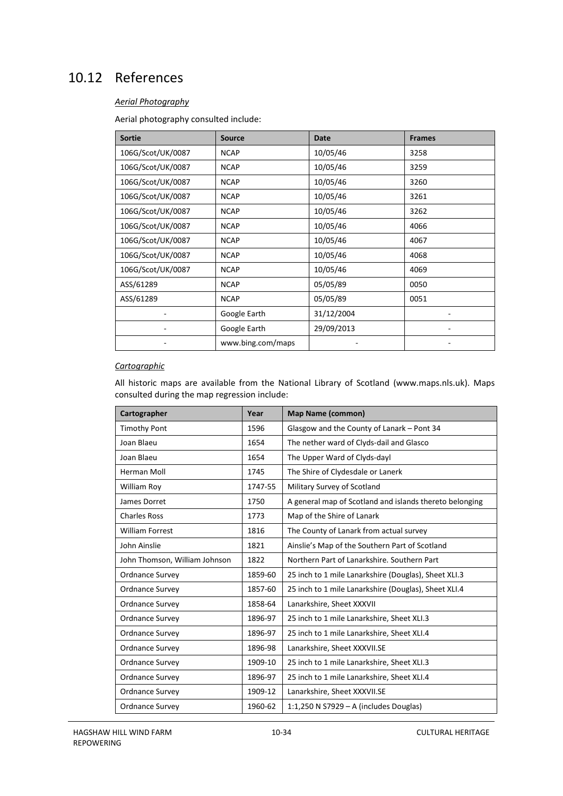# <span id="page-35-0"></span>10.12 References

#### *Aerial Photography*

Aerial photography consulted include:

| <b>Sortie</b>     | <b>Source</b>     | Date       | <b>Frames</b> |
|-------------------|-------------------|------------|---------------|
| 106G/Scot/UK/0087 | <b>NCAP</b>       | 10/05/46   | 3258          |
| 106G/Scot/UK/0087 | <b>NCAP</b>       | 10/05/46   | 3259          |
| 106G/Scot/UK/0087 | <b>NCAP</b>       | 10/05/46   | 3260          |
| 106G/Scot/UK/0087 | <b>NCAP</b>       | 10/05/46   | 3261          |
| 106G/Scot/UK/0087 | <b>NCAP</b>       | 10/05/46   | 3262          |
| 106G/Scot/UK/0087 | <b>NCAP</b>       | 10/05/46   | 4066          |
| 106G/Scot/UK/0087 | <b>NCAP</b>       | 10/05/46   | 4067          |
| 106G/Scot/UK/0087 | <b>NCAP</b>       | 10/05/46   | 4068          |
| 106G/Scot/UK/0087 | <b>NCAP</b>       | 10/05/46   | 4069          |
| ASS/61289         | <b>NCAP</b>       | 05/05/89   | 0050          |
| ASS/61289         | <b>NCAP</b>       | 05/05/89   | 0051          |
|                   | Google Earth      | 31/12/2004 |               |
|                   | Google Earth      | 29/09/2013 |               |
|                   | www.bing.com/maps |            |               |

#### *Cartographic*

All historic maps are available from the National Library of Scotland (www.maps.nls.uk). Maps consulted during the map regression include:

| Cartographer                  | Year    | <b>Map Name (common)</b>                                |
|-------------------------------|---------|---------------------------------------------------------|
| <b>Timothy Pont</b>           | 1596    | Glasgow and the County of Lanark - Pont 34              |
| Joan Blaeu                    | 1654    | The nether ward of Clyds-dail and Glasco                |
| Joan Blaeu                    | 1654    | The Upper Ward of Clyds-dayl                            |
| Herman Moll                   | 1745    | The Shire of Clydesdale or Lanerk                       |
| William Roy                   | 1747-55 | Military Survey of Scotland                             |
| James Dorret                  | 1750    | A general map of Scotland and islands thereto belonging |
| <b>Charles Ross</b>           | 1773    | Map of the Shire of Lanark                              |
| <b>William Forrest</b>        | 1816    | The County of Lanark from actual survey                 |
| John Ainslie                  | 1821    | Ainslie's Map of the Southern Part of Scotland          |
| John Thomson, William Johnson | 1822    | Northern Part of Lanarkshire. Southern Part             |
| <b>Ordnance Survey</b>        | 1859-60 | 25 inch to 1 mile Lanarkshire (Douglas), Sheet XLI.3    |
| <b>Ordnance Survey</b>        | 1857-60 | 25 inch to 1 mile Lanarkshire (Douglas), Sheet XLI.4    |
| <b>Ordnance Survey</b>        | 1858-64 | Lanarkshire, Sheet XXXVII                               |
| <b>Ordnance Survey</b>        | 1896-97 | 25 inch to 1 mile Lanarkshire, Sheet XLI.3              |
| <b>Ordnance Survey</b>        | 1896-97 | 25 inch to 1 mile Lanarkshire, Sheet XLI.4              |
| <b>Ordnance Survey</b>        | 1896-98 | Lanarkshire, Sheet XXXVII.SE                            |
| <b>Ordnance Survey</b>        | 1909-10 | 25 inch to 1 mile Lanarkshire, Sheet XLI.3              |
| Ordnance Survey               | 1896-97 | 25 inch to 1 mile Lanarkshire, Sheet XLI.4              |
| <b>Ordnance Survey</b>        | 1909-12 | Lanarkshire, Sheet XXXVII.SE                            |
| <b>Ordnance Survey</b>        | 1960-62 | 1:1,250 N S7929 $-$ A (includes Douglas)                |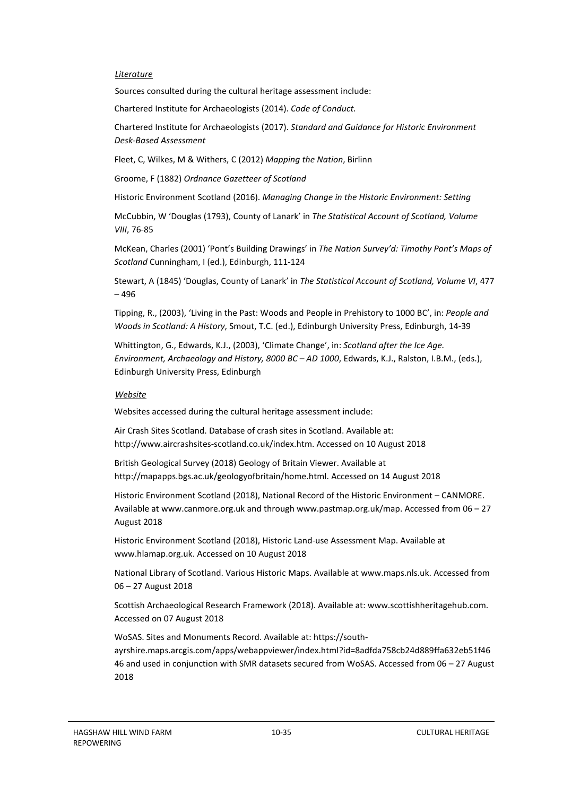#### *Literature*

Sources consulted during the cultural heritage assessment include:

Chartered Institute for Archaeologists (2014). *Code of Conduct.*

Chartered Institute for Archaeologists (2017). *Standard and Guidance for Historic Environment Desk-Based Assessment*

Fleet, C, Wilkes, M & Withers, C (2012) *Mapping the Nation*, Birlinn

Groome, F (1882) *Ordnance Gazetteer of Scotland*

Historic Environment Scotland (2016). *Managing Change in the Historic Environment: Setting*

McCubbin, W 'Douglas (1793), County of Lanark' in *The Statistical Account of Scotland, Volume VIII*, 76-85

McKean, Charles (2001) 'Pont's Building Drawings' in *The Nation Survey'd: Timothy Pont's Maps of Scotland* Cunningham, I (ed.), Edinburgh, 111-124

Stewart, A (1845) 'Douglas, County of Lanark' in *The Statistical Account of Scotland, Volume VI*, 477 – 496

Tipping, R., (2003), 'Living in the Past: Woods and People in Prehistory to 1000 BC', in: *People and Woods in Scotland: A History*, Smout, T.C. (ed.), Edinburgh University Press, Edinburgh, 14-39

Whittington, G., Edwards, K.J., (2003), 'Climate Change', in: *Scotland after the Ice Age. Environment, Archaeology and History, 8000 BC – AD 1000*, Edwards, K.J., Ralston, I.B.M., (eds.), Edinburgh University Press, Edinburgh

#### *Website*

Websites accessed during the cultural heritage assessment include:

Air Crash Sites Scotland. Database of crash sites in Scotland. Available at: http://www.aircrashsites-scotland.co.uk/index.htm. Accessed on 10 August 2018

British Geological Survey (2018) Geology of Britain Viewer. Available at http://mapapps.bgs.ac.uk/geologyofbritain/home.html. Accessed on 14 August 2018

Historic Environment Scotland (2018), National Record of the Historic Environment – CANMORE. Available at www.canmore.org.uk and through www.pastmap.org.uk/map. Accessed from 06 – 27 August 2018

Historic Environment Scotland (2018), Historic Land-use Assessment Map. Available at www.hlamap.org.uk. Accessed on 10 August 2018

National Library of Scotland. Various Historic Maps. Available at www.maps.nls.uk. Accessed from 06 – 27 August 2018

Scottish Archaeological Research Framework (2018). Available at: www.scottishheritagehub.com. Accessed on 07 August 2018

WoSAS. Sites and Monuments Record. Available at: https://southayrshire.maps.arcgis.com/apps/webappviewer/index.html?id=8adfda758cb24d889ffa632eb51f46 46 and used in conjunction with SMR datasets secured from WoSAS. Accessed from 06 – 27 August 2018